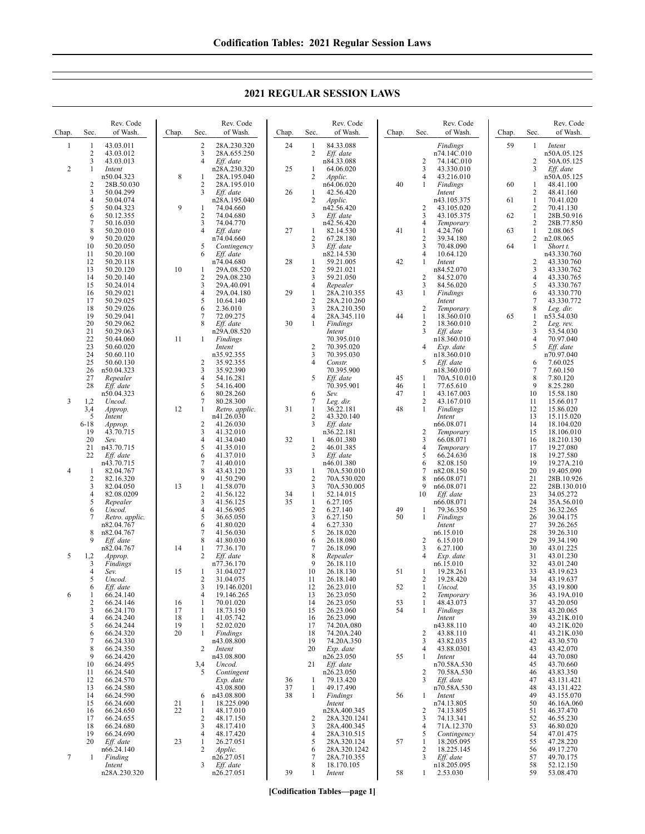**2021 REGULAR SESSION LAWS**

| Chap.          | Sec.           | Rev. Code<br>of Wash.    | Chap.    | Sec.                | Rev. Code<br>of Wash.       | Chap.    | Sec.                           | Rev. Code<br>of Wash.       | Chap. | Sec.                           | Rev. Code<br>of Wash.      | Chap. | Sec.                           | Rev. Code<br>of Wash.     |
|----------------|----------------|--------------------------|----------|---------------------|-----------------------------|----------|--------------------------------|-----------------------------|-------|--------------------------------|----------------------------|-------|--------------------------------|---------------------------|
| $\mathbf{1}$   | 1              | 43.03.011                |          | $\overline{c}$      | 28A.230.320                 | 24       | 1                              | 84.33.088                   |       |                                | Findings                   | 59    | $\mathbf{1}$                   | Intent                    |
|                | 2<br>3         | 43.03.012<br>43.03.013   |          | 3<br>$\overline{4}$ | 28A.655.250<br>Eff. date    |          | 2                              | Eff. date<br>n84.33.088     |       | $\overline{c}$                 | n74.14C.010<br>74.14C.010  |       | $\overline{c}$                 | n50A.05.125<br>50A.05.125 |
| 2              | $\mathbf{1}$   | Intent                   |          |                     | n28A.230.320                | 25       | 1                              | 64.06.020                   |       | 3                              | 43.330.010                 |       | 3                              | Eff. date                 |
|                | 2              | n50.04.323<br>28B.50.030 | 8        | 1<br>$\overline{2}$ | 28A.195.040<br>28A.195.010  |          | $\overline{2}$                 | Applic.                     | 40    | $\overline{4}$<br>1            | 43.216.010                 | 60    |                                | n50A.05.125               |
|                | 3              | 50.04.299                |          | 3                   | Eff. date                   | 26       | 1                              | n64.06.020<br>42.56.420     |       |                                | Findings<br>Intent         |       | 1<br>2                         | 48.41.100<br>48.41.160    |
|                | 4              | 50.04.074                |          |                     | n28A.195.040                |          | 2                              | Applic.                     |       |                                | n43.105.375                | 61    | $\mathbf{1}$                   | 70.41.020                 |
|                | 5<br>6         | 50.04.323<br>50.12.355   | 9        | 1<br>$\overline{2}$ | 74.04.660<br>74.04.680      |          | 3                              | n42.56.420<br>Eff. date     |       | $\overline{2}$<br>3            | 43.105.020<br>43.105.375   | 62    | 2<br>$\mathbf{1}$              | 70.41.130<br>28B.50.916   |
|                | 7              | 50.16.030                |          | 3                   | 74.04.770                   |          |                                | n42.56.420                  |       | $\overline{4}$                 | Temporary                  |       | 2                              | 28B.77.850                |
|                | 8              | 50.20.010                |          | $\overline{4}$      | Eff. date                   | 27       | 1                              | 82.14.530                   | 41    | 1                              | 4.24.760                   | 63    | $\mathbf{1}$                   | 2.08.065                  |
|                | 9<br>10        | 50.20.020<br>50.20.050   |          | 5                   | n74.04.660<br>Contingency   |          | 2<br>3                         | 67.28.180<br>Eff. date      |       | $\sqrt{2}$<br>3                | 39.34.180<br>70.48.090     | 64    | $\overline{2}$<br>$\mathbf{1}$ | n2.08.065<br>Short t.     |
|                | 11             | 50.20.100                |          | 6                   | Eff. date                   |          |                                | n82.14.530                  |       | $\overline{4}$                 | 10.64.120                  |       |                                | n43.330.760               |
|                | 12<br>13       | 50.20.118<br>50.20.120   | 10       | 1                   | n74.04.680<br>29A.08.520    | 28       | 1<br>2                         | 59.21.005<br>59.21.021      | 42    | 1                              | Intent<br>n84.52.070       |       | 2<br>3                         | 43.330.760<br>43.330.762  |
|                | 14             | 50.20.140                |          | $\overline{2}$      | 29A.08.230                  |          | 3                              | 59.21.050                   |       | $\overline{2}$                 | 84.52.070                  |       | 4                              | 43.330.765                |
|                | 15             | 50.24.014                |          | 3                   | 29A.40.091                  |          | $\overline{4}$                 | Repealer                    |       | 3                              | 84.56.020                  |       | 5                              | 43.330.767                |
|                | 16<br>17       | 50.29.021<br>50.29.025   |          | 4<br>5              | 29A.04.180<br>10.64.140     | 29       | $\mathbf{1}$<br>$\sqrt{2}$     | 28A.210.355<br>28A.210.260  | 43    | 1                              | Findings<br>Intent         |       | 6<br>7                         | 43.330.770<br>43.330.772  |
|                | 18             | 50.29.026                |          | 6                   | 2.36.010                    |          | $\mathfrak{Z}$                 | 28A.210.350                 |       | $\overline{c}$                 | Temporary                  |       | 8                              | Leg. dir.                 |
|                | 19<br>20       | 50.29.041<br>50.29.062   |          | 7<br>8              | 72.09.275<br>Eff. date      | 30       | 4<br>1                         | 28A.345.110<br>Findings     | 44    | $\mathbf{1}$<br>$\overline{c}$ | 18.360.010<br>18.360.010   | 65    | 1<br>2                         | n53.54.030<br>Leg. rev.   |
|                | 21             | 50.29.063                |          |                     | n29A.08.520                 |          |                                | Intent                      |       | 3                              | Eff. date                  |       | 3                              | 53.54.030                 |
|                | 22             | 50.44.060                | 11       | 1                   | Findings                    |          |                                | 70.395.010                  |       |                                | n18.360.010                |       | $\overline{4}$                 | 70.97.040                 |
|                | 23<br>24       | 50.60.020<br>50.60.110   |          |                     | Intent<br>n35.92.355        |          | 2<br>3                         | 70.395.020<br>70.395.030    |       | 4                              | Exp. date<br>n18.360.010   |       | 5                              | Eff. date<br>n70.97.040   |
|                | 25             | 50.60.130                |          | $\overline{c}$      | 35.92.355                   |          | 4                              | Constr.                     |       | 5                              | Eff. date                  |       | 6                              | 7.60.025                  |
|                | 26<br>27       | n50.04.323<br>Repealer   |          | 3<br>4              | 35.92.390<br>54.16.281      |          | 5                              | 70.395.900<br>Eff. date     | 45    | 1                              | n18.360.010<br>70A.510.010 |       | 7<br>8                         | 7.60.150<br>7.80.120      |
|                | 28             | Eff. date                |          | 5                   | 54.16.400                   |          |                                | 70.395.901                  | 46    | $\mathbf{1}$                   | 77.65.610                  |       | 9                              | 8.25.280                  |
|                |                | n50.04.323               |          | 6                   | 80.28.260                   |          | 6                              | Sev.                        | 47    | 1                              | 43.167.003                 |       | 10                             | 15.58.180                 |
| 3              | 1,2<br>3,4     | Uncod.<br>Approp.        | 12       | 7<br>$\mathbf{1}$   | 80.28.300<br>Retro. applic. | 31       | 7<br>$\mathbf{1}$              | Leg. dir.<br>36.22.181      | 48    | 2<br>$\mathbf{1}$              | 43.167.010<br>Findings     |       | 11<br>12                       | 15.66.017<br>15.86.020    |
|                | 5              | Intent                   |          |                     | n41.26.030                  |          | $\overline{c}$                 | 43.320.140                  |       |                                | Intent                     |       | 13                             | 15.115.020                |
|                | $6 - 18$<br>19 | Approp.<br>43.70.715     |          | $\overline{2}$<br>3 | 41.26.030<br>41.32.010      |          | 3                              | Eff. date<br>n36.22.181     |       | $\overline{2}$                 | n66.08.071<br>Temporary    |       | 14<br>15                       | 18.104.020<br>18.106.010  |
|                | 20             | Sev.                     |          | 4                   | 41.34.040                   | 32       | -1                             | 46.01.380                   |       | 3                              | 66.08.071                  |       | 16                             | 18.210.130                |
|                | 21             | n43.70.715               |          | 5                   | 41.35.010                   |          | 2                              | 46.01.385                   |       | $\overline{4}$                 | Temporary                  |       | 17                             | 19.27.080                 |
|                | 22             | Eff. date<br>n43.70.715  |          | 6<br>7              | 41.37.010<br>41.40.010      |          | 3                              | Eff. date<br>n46.01.380     |       | 5<br>6                         | 66.24.630<br>82.08.150     |       | 18<br>19                       | 19.27.580<br>19.27A.210   |
| $\overline{4}$ | 1              | 82.04.767                |          | 8                   | 43.43.120                   | 33       | 1                              | 70A.530.010                 |       | $\overline{7}$                 | n82.08.150                 |       | 20                             | 19.405.090                |
|                | 2<br>3         | 82.16.320<br>82.04.050   | 13       | 9<br>$\mathbf{1}$   | 41.50.290<br>41.58.070      |          | $\overline{2}$<br>3            | 70A.530.020<br>70A.530.005  |       | 8<br>9                         | n66.08.071<br>n66.08.071   |       | 21<br>22                       | 28B.10.926<br>28B.130.010 |
|                | 4              | 82.08.0209               |          | $\overline{c}$      | 41.56.122                   | 34       | 1                              | 52.14.015                   |       | 10                             | Eff. date                  |       | 23                             | 34.05.272                 |
|                | 5<br>6         | Repealer<br>Uncod.       |          | 3<br>$\overline{4}$ | 41.56.125<br>41.56.905      | 35       | $\mathbf{1}$<br>$\overline{2}$ | 6.27.105<br>6.27.140        | 49    | 1                              | n66.08.071<br>79.36.350    |       | 24<br>25                       | 35A.56.010<br>36.32.265   |
|                | 7              | Retro. applic.           |          | 5                   | 36.65.050                   |          | 3                              | 6.27.150                    | 50    | 1                              | Findings                   |       | 26                             | 39.04.175                 |
|                |                | n82.04.767               |          | 6                   | 41.80.020                   |          | $\overline{4}$                 | 6.27.330                    |       |                                | Intent                     |       | 27                             | 39.26.265                 |
|                | 8<br>9         | n82.04.767<br>Eff. date  |          | 7<br>8              | 41.56.030<br>41.80.030      |          | 5<br>6                         | 26.18.020<br>26.18.080      |       | $\overline{c}$                 | n6.15.010<br>6.15.010      |       | 28<br>29                       | 39.26.310<br>39.34.190    |
|                |                | n82.04.767               | 14       | -1                  | 77.36.170                   |          | 7                              | 26.18.090                   |       | 3                              | 6.27.100                   |       | 30                             | 43.01.225                 |
| 5              | 1,2<br>3       | Approp.<br>Findings      |          | 2                   | Eff. date<br>n77.36.170     |          | 8<br>9                         | Repealer<br>26.18.110       |       | $\overline{4}$                 | Exp. date<br>n6.15.010     |       | 31<br>32                       | 43.01.230<br>43.01.240    |
|                | 4              | Sev.                     | 15       | $\mathbf{1}$        | 31.04.027                   |          | 10                             | 26.18.130                   | 51    | 1                              | 19.28.261                  |       | 33                             | 43.19.623                 |
|                | 5              | Uncod.                   |          | 2<br>3              | 31.04.075                   |          | 11<br>12                       | 26.18.140                   |       | 2                              | 19.28.420<br>Uncod.        |       | 34                             | 43.19.637                 |
| 6              | 6<br>1         | Eff. date<br>66.24.140   |          | 4                   | 19.146.0201<br>19.146.265   |          | 13                             | 26.23.010<br>26.23.050      | 52    | -1<br>$\overline{2}$           | Temporary                  |       | 35<br>36                       | 43.19.800<br>43.19A.010   |
|                | $\overline{c}$ | 66.24.146                | 16       | $\mathbf{1}$        | 70.01.020                   |          | 14                             | 26.23.050                   | 53    | 1                              | 48.43.073                  |       | 37                             | 43.20.050                 |
|                | 3<br>4         | 66.24.170<br>66.24.240   | 17<br>18 | $\mathbf{1}$<br>1   | 18.73.150<br>41.05.742      |          | 15<br>16                       | 26.23.060<br>26.23.090      | 54    | 1                              | Findings<br>Intent         |       | 38<br>39                       | 43.20.065<br>43.21K.010   |
|                | 5              | 66.24.244                | 19       | $\mathbf{1}$        | 52.02.020                   |          | 17                             | 74.20A.080                  |       |                                | n43.88.110                 |       | 40                             | 43.21K.020                |
|                | 6              | 66.24.320                | 20       | 1                   | Findings                    |          | 18<br>19                       | 74.20A.240                  |       | $\overline{2}$                 | 43.88.110                  |       | 41                             | 43.21K.030                |
|                | 7<br>8         | 66.24.330<br>66.24.350   |          | 2                   | n43.08.800<br>Intent        |          | 20                             | 74.20A.350<br>Exp. date     |       | 3<br>$\overline{4}$            | 43.82.035<br>43.88.0301    |       | 42<br>43                       | 43.30.570<br>43.42.070    |
|                | 9              | 66.24.420                |          |                     | n43.08.800                  |          |                                | n26.23.050                  | 55    | $\mathbf{1}$                   | Intent                     |       | 44                             | 43.70.080                 |
|                | 10<br>11       | 66.24.495<br>66.24.540   |          | 3,4<br>5            | Uncod.<br>Contingent        |          | 21                             | Eff. date<br>n26.23.050     |       | $\overline{2}$                 | n70.58A.530<br>70.58A.530  |       | 45<br>46                       | 43.70.660<br>43.83.350    |
|                | 12             | 66.24.570                |          |                     | Exp. date                   | 36       | -1                             | 79.13.420                   |       | 3                              | Eff. date                  |       | 47                             | 43.131.421                |
|                | 13<br>14       | 66.24.580<br>66.24.590   |          | 6                   | 43.08.800<br>n43.08.800     | 37<br>38 | $\mathbf{1}$<br>1              | 49.17.490                   | 56    |                                | n70.58A.530                |       | 48<br>49                       | 43.131.422<br>43.155.070  |
|                | 15             | 66.24.600                | 21       | 1                   | 18.225.090                  |          |                                | Findings<br>Intent          |       | 1                              | Intent<br>n74.13.805       |       | 50                             | 46.16A.060                |
|                | 16             | 66.24.650                | 22       | $\mathbf{1}$        | 48.17.010                   |          |                                | n28A.400.345                |       | $\overline{2}$                 | 74.13.805                  |       | 51                             | 46.37.470                 |
|                | 17<br>18       | 66.24.655<br>66.24.680   |          | 2<br>3              | 48.17.150<br>48.17.410      |          | 2<br>3                         | 28A.320.1241<br>28A.400.345 |       | 3<br>$\overline{4}$            | 74.13.341<br>71A.12.370    |       | 52<br>53                       | 46.55.230<br>46.80.020    |
|                | 19             | 66.24.690                |          | $\overline{4}$      | 48.17.420                   |          | $\overline{4}$                 | 28A.310.515                 |       | 5                              | Contingency                |       | 54                             | 47.01.475                 |
|                | 20             | Eff. date                | 23       | $\mathbf{1}$<br>2   | 26.27.051                   |          | 5                              | 28A.320.124                 | 57    | 1                              | 18.205.095                 |       | 55                             | 47.28.220                 |
| 7              | 1              | n66.24.140<br>Finding    |          |                     | Applic.<br>n26.27.051       |          | 6<br>7                         | 28A.320.1242<br>28A.710.355 |       | $\sqrt{2}$<br>3                | 18.225.145<br>Eff. date    |       | 56<br>57                       | 49.17.270<br>49.70.175    |
|                |                | Intent                   |          | 3                   | Eff. date                   |          | 8                              | 18.170.105                  |       |                                | n18.205.095                |       | 58                             | 52.12.150                 |
|                |                | n28A.230.320             |          |                     | n26.27.051                  | 39       | 1                              | Intent                      | 58    | 1                              | 2.53.030                   |       | 59                             | 53.08.470                 |

**[Codification Tables—page 1]**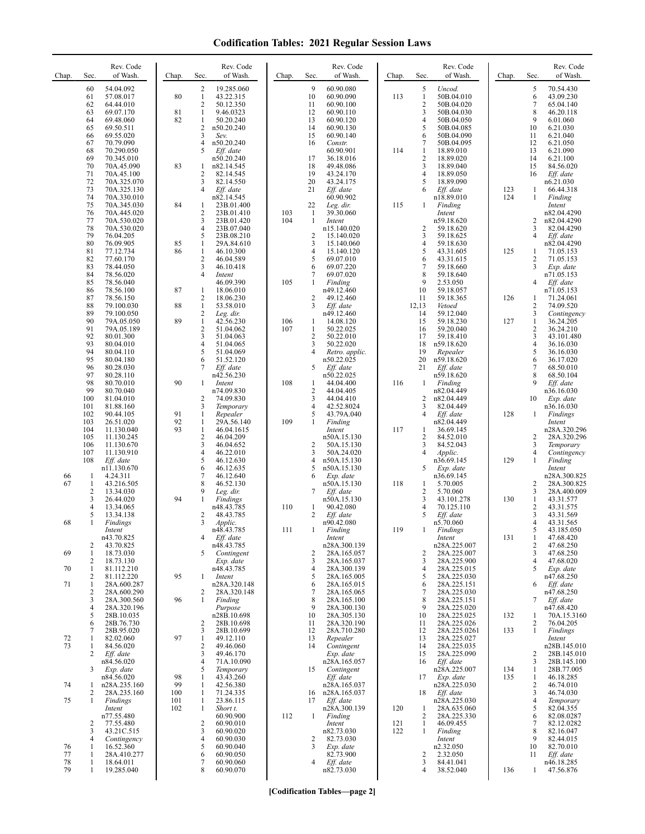| Chap.    | Sec.              | Rev. Code<br>of Wash.      | Chap.      | Sec.                | Rev. Code<br>of Wash.    | Chap. | Sec.                | Rev. Code<br>of Wash.        | Chap. | Sec.                       | Rev. Code<br>of Wash.        | Chap.      | Sec.                         | Rev. Code<br>of Wash.       |
|----------|-------------------|----------------------------|------------|---------------------|--------------------------|-------|---------------------|------------------------------|-------|----------------------------|------------------------------|------------|------------------------------|-----------------------------|
|          | 60                | 54.04.092                  |            | $\overline{c}$      | 19.285.060               |       | 9                   | 60.90.080                    |       | 5                          | Uncod.                       |            | 5                            | 70.54.430                   |
|          | 61<br>62          | 57.08.017<br>64.44.010     | 80         | 1<br>2              | 43.22.315<br>50.12.350   |       | 10<br>11            | 60.90.090<br>60.90.100       | 113   | $\mathbf{1}$<br>$\sqrt{2}$ | 50B.04.010<br>50B.04.020     |            | 6<br>7                       | 43.09.230<br>65.04.140      |
|          | 63                | 69.07.170                  | 81         | 1                   | 9.46.0323                |       | 12                  | 60.90.110                    |       | 3                          | 50B.04.030                   |            | 8                            | 46.20.118                   |
|          | 64<br>65          | 69.48.060<br>69.50.511     | 82         | 1<br>$\overline{c}$ | 50.20.240<br>n50.20.240  |       | 13<br>14            | 60.90.120<br>60.90.130       |       | 4<br>5                     | 50B.04.050<br>50B.04.085     |            | 9<br>10                      | 6.01.060<br>6.21.030        |
|          | 66                | 69.55.020                  |            | 3                   | Sev.                     |       | 15                  | 60.90.140                    |       | 6                          | 50B.04.090                   |            | 11                           | 6.21.040                    |
|          | 67                | 70.79.090                  |            | 4                   | n50.20.240               |       | 16                  | Constr.                      |       | 7                          | 50B.04.095                   |            | 12                           | 6.21.050                    |
|          | 68<br>69          | 70.290.050<br>70.345.010   |            | 5                   | Eff. date<br>n50.20.240  |       | 17                  | 60.90.901<br>36.18.016       | 114   | 1<br>$\overline{2}$        | 18.89.010<br>18.89.020       |            | 13<br>14                     | 6.21.090<br>6.21.100        |
|          | 70                | 70A.45.090                 | 83         | 1                   | n82.14.545               |       | 18                  | 49.48.086                    |       | 3                          | 18.89.040                    |            | 15                           | 84.56.020                   |
|          | 71<br>72          | 70A.45.100<br>70A.325.070  |            | 2<br>3              | 82.14.545<br>82.14.550   |       | 19<br>20            | 43.24.170<br>43.24.175       |       | 4<br>5                     | 18.89.050<br>18.89.090       |            | 16                           | Eff. date<br>n6.21.030      |
|          | 73                | 70A.325.130                |            | 4                   | Eff. date                |       | 21                  | Eff. date                    |       | 6                          | Eff. date                    | 123        | 1                            | 66.44.318                   |
|          | 74<br>75          | 70A.330.010<br>70A.345.030 | 84         | 1                   | n82.14.545<br>23B.01.400 |       | 22                  | 60.90.902<br>Leg. dir.       | 115   | 1                          | n18.89.010<br>Finding        | 124        | 1                            | Finding<br>Intent           |
|          | 76                | 70A.445.020                |            | 2                   | 23B.01.410               | 103   | -1                  | 39.30.060                    |       |                            | Intent                       |            |                              | n82.04.4290                 |
|          | 77                | 70A.530.020                |            | 3<br>$\overline{4}$ | 23B.01.420               | 104   | 1                   | Intent                       |       |                            | n59.18.620                   |            | 2                            | n82.04.4290                 |
|          | 78<br>79          | 70A.530.020<br>76.04.205   |            | 5                   | 23B.07.040<br>23B.08.210 |       | $\overline{c}$      | n15.140.020<br>15.140.020    |       | $\overline{2}$<br>3        | 59.18.620<br>59.18.625       |            | 3<br>$\overline{4}$          | 82.04.4290<br>Eff. date     |
|          | 80                | 76.09.905                  | 85         | $\mathbf{1}$        | 29A.84.610               |       | 3                   | 15.140.060                   |       | 4                          | 59.18.630                    |            |                              | n82.04.4290                 |
|          | 81<br>82          | 77.12.734<br>77.60.170     | 86         | 1<br>$\mathbf{2}$   | 46.10.300<br>46.04.589   |       | 4<br>5              | 15.140.120<br>69.07.010      |       | 5<br>6                     | 43.31.605<br>43.31.615       | 125        | 1<br>2                       | 71.05.153<br>71.05.153      |
|          | 83                | 78.44.050                  |            | 3                   | 46.10.418                |       | 6                   | 69.07.220                    |       | 7                          | 59.18.660                    |            | 3                            | Exp. date                   |
|          | 84<br>85          | 78.56.020<br>78.56.040     |            | $\overline{4}$      | Intent<br>46.09.390      | 105   | 7<br>1              | 69.07.020<br>Finding         |       | 8<br>9                     | 59.18.640<br>2.53.050        |            | 4                            | n71.05.153<br>Eff. date     |
|          | 86                | 78.56.100                  | 87         | 1                   | 18.06.010                |       |                     | n49.12.460                   |       | 10                         | 59.18.057                    |            |                              | n71.05.153                  |
|          | 87<br>88          | 78.56.150                  | 88         | 2<br>1              | 18.06.230                |       | 2<br>3              | 49.12.460                    |       | 11<br>12,13                | 59.18.365<br>Vetoed          | 126        | 1<br>2                       | 71.24.061<br>74.09.520      |
|          | 89                | 79.100.030<br>79.100.050   |            | 2                   | 53.58.010<br>Leg. dir.   |       |                     | Eff. date<br>n49.12.460      |       | 14                         | 59.12.040                    |            | 3                            | Contingency                 |
|          | 90                | 79A.05.050                 | 89         | $\mathbf{1}$        | 42.56.230                | 106   | 1                   | 14.08.120                    |       | 15                         | 59.18.230                    | 127        | 1                            | 36.24.205                   |
|          | 91<br>92          | 79A.05.189<br>80.01.300    |            | 2<br>3              | 51.04.062<br>51.04.063   | 107   | 1<br>$\overline{2}$ | 50.22.025<br>50.22.010       |       | 16<br>17                   | 59.20.040<br>59.18.410       |            | $\overline{\mathbf{c}}$<br>3 | 36.24.210<br>43.101.480     |
|          | 93                | 80.04.010                  |            | $\overline{4}$      | 51.04.065                |       | 3                   | 50.22.020                    |       | 18                         | n59.18.620                   |            | 4                            | 36.16.030                   |
|          | 94<br>95          | 80.04.110<br>80.04.180     |            | 5<br>6              | 51.04.069<br>51.52.120   |       | 4                   | Retro. applic.<br>n50.22.025 |       | 19<br>20                   | Repealer<br>n59.18.620       |            | 5<br>6                       | 36.16.030<br>36.17.020      |
|          | 96                | 80.28.030                  |            | 7                   | Eff. date                |       | 5                   | Eff. date                    |       | 21                         | Eff. date                    |            | 7                            | 68.50.010                   |
|          | 97<br>98          | 80.28.110<br>80.70.010     | 90         | 1                   | n42.56.230<br>Intent     | 108   | 1                   | n50.22.025<br>44.04.400      | 116   | 1                          | n59.18.620<br>Finding        |            | 8<br>9                       | 68.50.104<br>Eff. date      |
|          | 99                | 80.70.040                  |            |                     | n74.09.830               |       | $\overline{2}$      | 44.04.405                    |       |                            | n82.04.449                   |            |                              | n36.16.030                  |
|          | 100<br>101        | 81.04.010<br>81.88.160     |            | $\overline{c}$<br>3 | 74.09.830<br>Temporary   |       | 3<br>4              | 44.04.410<br>42.52.8024      |       | 2<br>3                     | n82.04.449<br>82.04.449      |            | 10                           | Exp. date<br>n36.16.030     |
|          | 102               | 90.44.105                  | 91         | $\mathbf{1}$        | Repealer                 |       | 5                   | 43.79A.040                   |       | 4                          | Eff. date                    | 128        | $\mathbf{1}$                 | Findings                    |
|          | 103<br>104        | 26.51.020<br>11.130.040    | 92<br>93   | 1<br>$\mathbf{1}$   | 29A.56.140<br>46.04.1615 | 109   | 1                   | Finding                      | 117   | 1                          | n82.04.449<br>36.69.145      |            |                              | Intent<br>n28A.320.296      |
|          | 105               | 11.130.245                 |            | $\mathbf{2}$        | 46.04.209                |       |                     | Intent<br>n50A.15.130        |       | 2                          | 84.52.010                    |            | 2                            | 28A.320.296                 |
|          | 106               | 11.130.670                 |            | 3                   | 46.04.652                |       | 2                   | 50A.15.130                   |       | 3                          | 84.52.043                    |            | 3                            | Temporary                   |
|          | 107<br>108        | 11.130.910<br>Eff. date    |            | 4<br>5              | 46.22.010<br>46.12.630   |       | 3<br>4              | 50A.24.020<br>n50A.15.130    |       | 4                          | Applic.<br>n36.69.145        | 129        | 4<br>1                       | Contingency<br>Finding      |
|          |                   | n11.130.670                |            | 6                   | 46.12.635                |       | 5                   | n50A.15.130                  |       | 5                          | Exp. date                    |            |                              | Intent                      |
| 66<br>67 | $\mathbf{1}$<br>1 | 4.24.311<br>43.216.505     |            | $\overline{7}$<br>8 | 46.12.640<br>46.52.130   |       | 6                   | Exp. date<br>n50A.15.130     | 118   | 1                          | n36.69.145<br>5.70.005       |            | $\overline{2}$               | n28A.300.825<br>28A.300.825 |
|          | 2                 | 13.34.030                  |            | 9                   | Leg. dir.                |       | 7                   | Eff. date                    |       | 2                          | 5.70.060                     |            | 3                            | 28A.400.009                 |
|          | 3<br>4            | 26.44.020<br>13.34.065     | 94         | 1                   | Findings<br>n48.43.785   | 110   | 1                   | n50A.15.130<br>90.42.080     |       | 3<br>4                     | 43.101.278<br>70.125.110     | 130        | $\mathbf{1}$<br>2            | 43.31.577<br>43.31.575      |
|          | 5                 | 13.34.138                  |            | 2                   | 48.43.785                |       | 2                   | Eff. date                    |       | 5                          | Eff. date                    |            | 3                            | 43.31.569                   |
| 68       | 1                 | Findings<br>Intent         |            | 3                   | Applic.<br>n48.43.785    | 111   |                     | n90.42.080<br>Finding        | 119   |                            | n5.70.060<br><b>Findings</b> |            | 4<br>5                       | 43.31.565<br>43.185.050     |
|          |                   | n43.70.825                 |            | 4                   | Eff. date                |       |                     | Intent                       |       |                            | Intent                       | 131        | 1                            | 47.68.420                   |
| 69       | 2<br>1            | 43.70.825<br>18.73.030     |            | 5                   | n48.43.785<br>Contingent |       | 2                   | n28A.300.139<br>28A.165.057  |       | 2                          | n28A.225.007<br>28A.225.007  |            | 2<br>3                       | 47.68.250<br>47.68.250      |
|          | 2                 | 18.73.130                  |            |                     | Exp. date                |       | 3                   | 28A.165.037                  |       | 3                          | 28A.225.900                  |            | 4                            | 47.68.020                   |
| 70       | 1<br>2            | 81.112.210<br>81.112.220   | 95         | 1                   | n48.43.785<br>Intent     |       | 4<br>5              | 28A.300.139<br>28A.165.005   |       | 4<br>5                     | 28A.225.015<br>28A.225.030   |            | 5                            | Exp. date<br>n47.68.250     |
| 71       | 1                 | 28A.600.287                |            |                     | n28A.320.148             |       | 6                   | 28A.165.015                  |       | 6                          | 28A.225.151                  |            | 6                            | Eff. date                   |
|          | 2                 | 28A.600.290                | 96         | 2                   | 28A.320.148              |       | 7<br>8              | 28A.165.065<br>28A.165.100   |       | 7<br>8                     | 28A.225.030<br>28A.225.151   |            | 7                            | n47.68.250                  |
|          | 3<br>4            | 28A.300.560<br>28A.320.196 |            | 1                   | Finding<br>Purpose       |       | 9                   | 28A.300.130                  |       | 9                          | 28A.225.020                  |            |                              | Eff. date<br>n47.68.420     |
|          | 5                 | 28B.10.035                 |            |                     | n28B.10.698              |       | 10                  | 28A.305.130                  |       | 10                         | 28A.225.025                  | 132        | 1                            | 70A.15.3160                 |
|          | 6<br>7            | 28B.76.730<br>28B.95.020   |            | 2<br>3              | 28B.10.698<br>28B.10.699 |       | 11<br>12            | 28A.320.190<br>28A.710.280   |       | 11<br>12                   | 28A.225.026<br>28A.225.0261  | 133        | 2<br>1                       | 76.04.205<br>Findings       |
| 72       | 1                 | 82.02.060                  | 97         | 1                   | 49.12.110                |       | 13                  | Repealer                     |       | 13                         | 28A.225.027                  |            |                              | Intent                      |
| 73       | 1<br>2            | 84.56.020<br>Eff. date     |            | 2<br>3              | 49.46.060<br>49.46.170   |       | 14                  | Contingent<br>Exp. date      |       | 14<br>15                   | 28A.225.035<br>28A.225.090   |            | 2                            | n28B.145.010<br>28B.145.010 |
|          |                   | n84.56.020                 |            | 4                   | 71A.10.090               |       |                     | n28A.165.057                 |       | 16                         | $Eff.$ date                  |            | 3                            | 28B.145.100                 |
|          | 3                 | Exp. date<br>n84.56.020    | 98         | 5<br>1              | Temporary<br>43.43.260   |       | 15                  | Contingent<br>Eff. date      |       | 17                         | n28A.225.007<br>Exp. date    | 134<br>135 | 1<br>1                       | 28B.77.005<br>46.18.285     |
| 74       | 1                 | n28A.235.160               | 99         | 1                   | 42.56.380                |       |                     | n28A.165.037                 |       |                            | n28A.225.030                 |            | 2                            | 46.74.010                   |
| 75       | 2<br>1            | 28A.235.160<br>Findings    | 100<br>101 | 1<br>1              | 71.24.335<br>23.86.115   |       | 16<br>17            | n28A.165.037<br>Eff. date    |       | 18                         | Eff. date<br>n28A.225.030    |            | 3<br>4                       | 46.74.030<br>Temporary      |
|          |                   | Intent                     | 102        | 1                   | Short t.                 |       |                     | n28A.300.139                 | 120   | 1                          | 28A.635.060                  |            | 5                            | 82.04.355                   |
|          | 2                 | n77.55.480<br>77.55.480    |            | 2                   | 60.90.900<br>60.90.010   | 112   | $\mathbf{1}$        | Finding<br>Intent            | 121   | 2<br>1                     | 28A.225.330<br>46.09.455     |            | 6<br>7                       | 82.08.0287<br>82.12.0282    |
|          | 3                 | 43.21C.515                 |            | 3                   | 60.90.020                |       |                     | n82.73.030                   | 122   | 1                          | Finding                      |            | 8                            | 82.16.047                   |
|          | 4<br>1            | Contingency<br>16.52.360   |            | 4<br>5              | 60.90.030<br>60.90.040   |       | 2<br>3              | 82.73.030                    |       |                            | Intent                       |            | 9<br>10                      | 82.44.015                   |
| 76<br>77 | 1                 | 28A.410.277                |            | 6                   | 60.90.050                |       |                     | Exp. date<br>82.73.900       |       | $\overline{c}$             | n2.32.050<br>2.32.050        |            | 11                           | 82.70.010<br>Eff. date      |
| 78<br>79 | 1<br>1            | 18.64.011                  |            | 7<br>8              | 60.90.060<br>60.90.070   |       | 4                   | Eff. date                    |       | 3<br>4                     | 84.41.041                    |            |                              | n46.18.285                  |
|          |                   | 19.285.040                 |            |                     |                          |       |                     | n82.73.030                   |       |                            | 38.52.040                    | 136        | 1                            | 47.56.876                   |

**[Codification Tables—page 2]**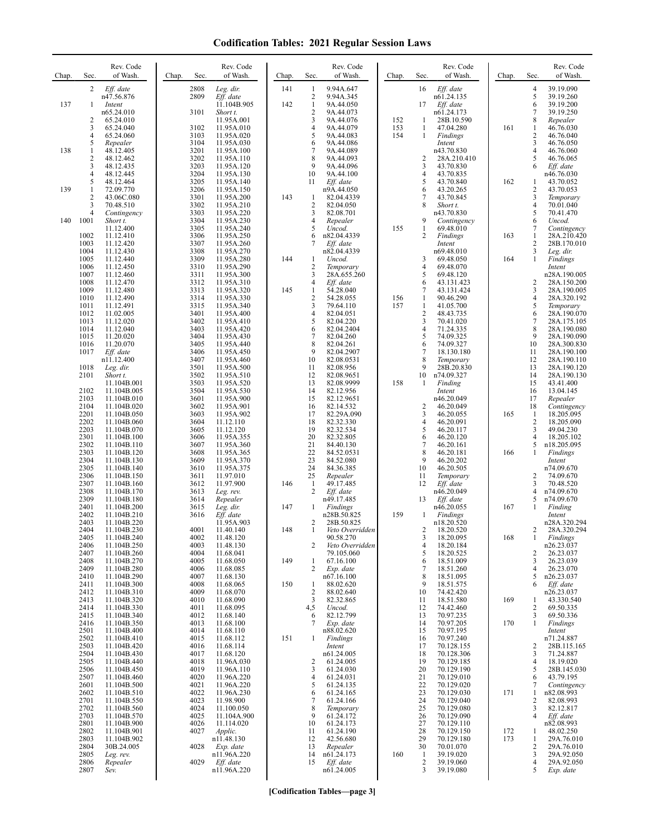| Chap. | Sec.                | Rev. Code<br>of Wash.      | Chap. | Sec.         | Rev. Code<br>of Wash.     | Chap. | Sec.                           | Rev. Code<br>of Wash.         | Chap.      | Sec.              | Rev. Code<br>of Wash.     | Chap. | Sec.                | Rev. Code<br>of Wash.       |
|-------|---------------------|----------------------------|-------|--------------|---------------------------|-------|--------------------------------|-------------------------------|------------|-------------------|---------------------------|-------|---------------------|-----------------------------|
|       | 2                   | Eff. date<br>n47.56.876    |       | 2808<br>2809 | Leg. dir.<br>Eff. date    | 141   | -1<br>$\overline{2}$           | 9.94A.647<br>9.94A.345        |            | 16                | Eff. date<br>n61.24.135   |       | 4<br>5              | 39.19.090<br>39.19.260      |
| 137   | 1                   | Intent                     |       |              | 11.104B.905               | 142   | $\mathbf{1}$                   | 9A.44.050                     |            | 17                | Eff. date                 |       | 6                   | 39.19.200                   |
|       | $\overline{c}$      | n65.24.010<br>65.24.010    |       | 3101         | Short t.<br>11.95A.001    |       | $\overline{\mathbf{c}}$<br>3   | 9A.44.073<br>9A.44.076        | 152        | -1                | n61.24.173<br>28B.10.590  |       | 7<br>8              | 39.19.250<br>Repealer       |
|       | 3<br>4              | 65.24.040<br>65.24.060     |       | 3102<br>3103 | 11.95A.010<br>11.95A.020  |       | $\overline{4}$<br>5            | 9A.44.079<br>9A.44.083        | 153<br>154 | $\mathbf{1}$<br>1 | 47.04.280<br>Findings     | 161   | 1<br>$\overline{c}$ | 46.76.030<br>46.76.040      |
|       | 5                   | Repealer                   |       | 3104         | 11.95A.030                |       | 6                              | 9A.44.086                     |            |                   | Intent                    |       | 3                   | 46.76.050                   |
| 138   | 1<br>$\overline{c}$ | 48.12.405<br>48.12.462     |       | 3201<br>3202 | 11.95A.100<br>11.95A.110  |       | $\overline{7}$<br>8            | 9A.44.089<br>9A.44.093        |            | 2                 | n43.70.830<br>28A.210.410 |       | $\overline{4}$<br>5 | 46.76.060<br>46.76.065      |
|       | 3<br>4              | 48.12.435<br>48.12.445     |       | 3203<br>3204 | 11.95A.120<br>11.95A.130  |       | 9<br>10                        | 9A.44.096<br>9A.44.100        |            | 3<br>4            | 43.70.830<br>43.70.835    |       | 6                   | Eff. date<br>n46.76.030     |
|       | 5                   | 48.12.464                  |       | 3205         | 11.95A.140                |       | 11                             | Eff. date                     |            | 5                 | 43.70.840                 | 162   | 1                   | 43.70.052                   |
| 139   | 1<br>$\overline{c}$ | 72.09.770<br>43.06C.080    |       | 3206<br>3301 | 11.95A.150<br>11.95A.200  | 143   | -1                             | n9A.44.050<br>82.04.4339      |            | 6<br>7            | 43.20.265<br>43.70.845    |       | $\overline{2}$<br>3 | 43.70.053<br>Temporary      |
|       | 3<br>4              | 70.48.510<br>Contingency   |       | 3302<br>3303 | 11.95A.210<br>11.95A.220  |       | $\overline{c}$<br>3            | 82.04.050<br>82.08.701        |            | 8                 | Short t.<br>n43.70.830    |       | $\overline{4}$<br>5 | 70.01.040<br>70.41.470      |
| 140   | 1001                | Short t.                   |       | 3304<br>3305 | 11.95A.230                |       | $\overline{4}$<br>5            | Repealer                      | 155        | 9                 | Contingency               |       | 6<br>7              | Uncod.                      |
|       | 1002                | 11.12.400<br>11.12.410     |       | 3306         | 11.95A.240<br>11.95A.250  |       | 6                              | Uncod.<br>n82.04.4339         |            | 1<br>2            | 69.48.010<br>Findings     | 163   | $\mathbf{1}$        | Contingency<br>28A.210.420  |
|       | 1003<br>1004        | 11.12.420<br>11.12.430     |       | 3307<br>3308 | 11.95A.260<br>11.95A.270  |       | 7                              | Eff. date<br>n82.04.4339      |            |                   | Intent<br>n69.48.010      |       | $\overline{c}$<br>3 | 28B.170.010<br>Leg. dir.    |
|       | 1005<br>1006        | 11.12.440<br>11.12.450     |       | 3309<br>3310 | 11.95A.280<br>11.95A.290  | 144   | 1<br>$\overline{2}$            | Uncod.<br>Temporary           |            | 3<br>4            | 69.48.050<br>69.48.070    | 164   | $\mathbf{1}$        | Findings<br>Intent          |
|       | 1007                | 11.12.460                  |       | 3311         | 11.95A.300                |       | 3                              | 28A.655.260                   |            | 5                 | 69.48.120                 |       |                     | n28A.190.005                |
|       | 1008<br>1009        | 11.12.470<br>11.12.480     |       | 3312<br>3313 | 11.95A.310<br>11.95A.320  | 145   | 4<br>$\mathbf{1}$              | Eff. date<br>54.28.040        |            | 6<br>7            | 43.131.423<br>43.131.424  |       | $\overline{c}$<br>3 | 28A.150.200<br>28A.190.005  |
|       | 1010<br>1011        | 11.12.490<br>11.12.491     |       | 3314<br>3315 | 11.95A.330<br>11.95A.340  |       | $\overline{c}$<br>3            | 54.28.055<br>79.64.110        | 156<br>157 | 1<br>$\mathbf{1}$ | 90.46.290<br>41.05.700    |       | 4<br>5              | 28A.320.192<br>Temporary    |
|       | 1012                | 11.02.005                  |       | 3401         | 11.95A.400                |       | 4                              | 82.04.051                     |            | 2                 | 48.43.735                 |       | 6                   | 28A.190.070                 |
|       | 1013<br>1014        | 11.12.020<br>11.12.040     |       | 3402<br>3403 | 11.95A.410<br>11.95A.420  |       | 5<br>6                         | 82.04.220<br>82.04.2404       |            | 3<br>4            | 70.41.020<br>71.24.335    |       | $\overline{7}$<br>8 | 28A.175.105<br>28A.190.080  |
|       | 1015<br>1016        | 11.20.020<br>11.20.070     |       | 3404<br>3405 | 11.95A.430<br>11.95A.440  |       | $\overline{7}$<br>8            | 82.04.260<br>82.04.261        |            | 5<br>6            | 74.09.325<br>74.09.327    |       | 9<br>10             | 28A.190.090<br>28A.300.830  |
|       | 1017                | Eff. date                  |       | 3406<br>3407 | 11.95A.450                |       | 9<br>10                        | 82.04.2907<br>82.08.0531      |            | 7<br>8            | 18.130.180                |       | 11<br>12            | 28A.190.100                 |
|       | 1018                | n11.12.400<br>Leg. dir.    |       | 3501         | 11.95A.460<br>11.95A.500  |       | 11                             | 82.08.956                     |            | 9                 | Temporary<br>28B.20.830   |       | 13                  | 28A.190.110<br>28A.190.120  |
|       | 2101                | Short t.<br>11.104B.001    |       | 3502<br>3503 | 11.95A.510<br>11.95A.520  |       | 12<br>13                       | 82.08.9651<br>82.08.9999      | 158        | 10<br>1           | n74.09.327<br>Finding     |       | 14<br>15            | 28A.190.130<br>43.41.400    |
|       | 2102<br>2103        | 11.104B.005<br>11.104B.010 |       | 3504<br>3601 | 11.95A.530<br>11.95A.900  |       | 14<br>15                       | 82.12.956<br>82.12.9651       |            |                   | Intent<br>n46.20.049      |       | 16<br>17            | 13.04.145<br>Repealer       |
|       | 2104                | 11.104B.020                |       | 3602         | 11.95A.901                |       | 16                             | 82.14.532                     |            | 2                 | 46.20.049                 |       | 18                  | Contingency                 |
|       | 2201<br>2202        | 11.104B.050<br>11.104B.060 |       | 3603<br>3604 | 11.95A.902<br>11.12.110   |       | 17<br>18                       | 82.29A.090<br>82.32.330       |            | 3<br>4            | 46.20.055<br>46.20.091    | 165   | $\mathbf{1}$<br>2   | 18.205.095<br>18.205.090    |
|       | 2203<br>2301        | 11.104B.070<br>11.104B.100 |       | 3605<br>3606 | 11.12.120<br>11.95A.355   |       | 19<br>20                       | 82.32.534<br>82.32.805        |            | 5<br>6            | 46.20.117<br>46.20.120    |       | 3<br>4              | 49.04.230<br>18.205.102     |
|       | 2302                | 11.104B.110                |       | 3607         | 11.95A.360                |       | 21<br>22                       | 84.40.130                     |            | 7<br>8            | 46.20.161                 |       | 5                   | n18.205.095                 |
|       | 2303<br>2304        | 11.104B.120<br>11.104B.130 |       | 3608<br>3609 | 11.95A.365<br>11.95A.370  |       | 23                             | 84.52.0531<br>84.52.080       |            | 9                 | 46.20.181<br>46.20.202    | 166   | 1                   | Findings<br>Intent          |
|       | 2305<br>2306        | 11.104B.140<br>11.104B.150 |       | 3610<br>3611 | 11.95A.375<br>11.97.010   |       | 24<br>25                       | 84.36.385<br>Repealer         |            | 10<br>11          | 46.20.505<br>Temporary    |       | 2                   | n74.09.670<br>74.09.670     |
|       | 2307<br>2308        | 11.104B.160<br>11.104B.170 |       | 3612<br>3613 | 11.97.900<br>Leg. rev.    | 146   | $\mathbf{1}$<br>$\overline{2}$ | 49.17.485<br>Eff. date        |            | 12                | Eff. date<br>n46.20.049   |       | 3<br>4              | 70.48.520<br>n74.09.670     |
|       | 2309                | 11.104B.180                |       | 3614         | Repealer                  |       |                                | n49.17.485                    |            | 13                | Eff. date                 |       | 5                   | n74.09.670                  |
|       | 2401<br>2402        | 11.104B.200<br>11.104B.210 |       | 3615<br>3616 | Leg. dir.<br>Eff. date    | 147   | 1                              | Findings<br>n28B.50.825       | 159        | $\mathbf{1}$      | n46.20.055<br>Findings    | 167   | 1                   | Finding<br>Intent           |
|       | 2403<br>2404        | 11.104B.220<br>11.104B.230 |       | 4001         | 11.95A.903<br>11.40.140   | 148   | 2<br>1                         | 28B.50.825<br>Veto Overridden |            |                   | n18.20.520<br>18.20.520   |       | 2                   | n28A.320.294<br>28A.320.294 |
|       | 2405                | 11.104B.240                |       | 4002         | 11.48.120                 |       |                                | 90.58.270                     |            | 3                 | 18.20.095                 | 168   | $\mathbf{1}$        | Findings                    |
|       | 2406<br>2407        | 11.104B.250<br>11.104B.260 |       | 4003<br>4004 | 11.48.130<br>11.68.041    |       | 2                              | Veto Overridden<br>79.105.060 |            | 4<br>5            | 18.20.184<br>18.20.525    |       | 2                   | n26.23.037<br>26.23.037     |
|       | 2408<br>2409        | 11.104B.270<br>11.104B.280 |       | 4005<br>4006 | 11.68.050<br>11.68.085    | 149   | 1<br>2                         | 67.16.100<br>Exp. date        |            | 6<br>7            | 18.51.009<br>18.51.260    |       | 3<br>$\overline{4}$ | 26.23.039<br>26.23.070      |
|       | 2410<br>2411        | 11.104B.290<br>11.104B.300 |       | 4007<br>4008 | 11.68.130<br>11.68.065    | 150   | $\mathbf{1}$                   | n67.16.100<br>88.02.620       |            | 8<br>9            | 18.51.095<br>18.51.575    |       | 5<br>6              | n26.23.037<br>Eff. date     |
|       | 2412                | 11.104B.310                |       | 4009         | 11.68.070                 |       | $\overline{2}$                 | 88.02.640                     |            | 10                | 74.42.420                 |       |                     | n26.23.037                  |
|       | 2413<br>2414        | 11.104B.320<br>11.104B.330 |       | 4010<br>4011 | 11.68.090<br>11.68.095    |       | $\overline{3}$<br>4,5          | 82.32.865<br>Uncod.           |            | 11<br>12          | 18.51.580<br>74.42.460    | 169   | 1<br>2              | 43.330.540<br>69.50.335     |
|       | 2415<br>2416        | 11.104B.340<br>11.104B.350 |       | 4012<br>4013 | 11.68.140<br>11.68.100    |       | 6<br>7                         | 82.12.799<br>Exp. date        |            | 13<br>14          | 70.97.235<br>70.97.205    | 170   | 3<br>$\mathbf{1}$   | 69.50.336<br>Findings       |
|       | 2501<br>2502        | 11.104B.400                |       | 4014<br>4015 | 11.68.110                 |       |                                | n88.02.620                    |            | 15                | 70.97.195<br>70.97.240    |       |                     | Intent<br>n71.24.887        |
|       | 2503                | 11.104B.410<br>11.104B.420 |       | 4016         | 11.68.112<br>11.68.114    | 151   | 1                              | Findings<br>Intent            |            | 16<br>17          | 70.128.155                |       | $\overline{2}$      | 28B.115.165                 |
|       | 2504<br>2505        | 11.104B.430<br>11.104B.440 |       | 4017<br>4018 | 11.68.120<br>11.96A.030   |       | 2                              | n61.24.005<br>61.24.005       |            | 18<br>19          | 70.128.306<br>70.129.185  |       | 3<br>4              | 71.24.887<br>18.19.020      |
|       | 2506<br>2507        | 11.104B.450<br>11.104B.460 |       | 4019<br>4020 | 11.96A.110<br>11.96A.220  |       | 3<br>$\overline{4}$            | 61.24.030<br>61.24.031        |            | 20<br>21          | 70.129.190<br>70.129.010  |       | 5<br>6              | 28B.145.030<br>43.79.195    |
|       | 2601                | 11.104B.500                |       | 4021         | 11.96A.220                |       | 5                              | 61.24.135                     |            | 22                | 70.129.020                |       | 7                   | Contingency                 |
|       | 2602<br>2701        | 11.104B.510<br>11.104B.550 |       | 4022<br>4023 | 11.96A.230<br>11.98.900   |       | 6<br>$\tau$                    | 61.24.165<br>61.24.166        |            | 23<br>24          | 70.129.030<br>70.129.040  | 171   | 1<br>2              | n82.08.993<br>82.08.993     |
|       | 2702<br>2703        | 11.104B.560<br>11.104B.570 |       | 4024<br>4025 | 11.100.050<br>11.104A.900 |       | 8<br>9                         | Temporary<br>61.24.172        |            | 25<br>26          | 70.129.080<br>70.129.090  |       | 3<br>4              | 82.12.817<br>Eff. date      |
|       | 2801<br>2802        | 11.104B.900<br>11.104B.901 |       | 4026<br>4027 | 11.114.020<br>Applic.     |       | 10<br>11                       | 61.24.173<br>61.24.190        |            | 27<br>28          | 70.129.110<br>70.129.150  | 172   | 1                   | n82.08.993<br>48.02.250     |
|       | 2803                | 11.104B.902                |       |              | n11.48.130                |       | 12                             | 42.56.680                     |            | 29                | 70.129.180                | 173   | 1                   | 29A.76.010                  |
|       | 2804<br>2805        | 30B.24.005<br>Leg. rev.    |       | 4028         | Exp. date<br>n11.96A.220  |       | 13<br>14                       | Repealer<br>n61.24.173        | 160        | 30<br>-1          | 70.01.070<br>39.19.020    |       | 2<br>3              | 29A.76.010<br>29A.92.050    |
|       | 2806<br>2807        | Repealer<br>Sev.           |       | 4029         | Eff. date<br>n11.96A.220  |       | 15                             | Eff. date<br>n61.24.005       |            | 2<br>3            | 39.19.060<br>39.19.080    |       | 4<br>5              | 29A.92.050<br>Exp. date     |
|       |                     |                            |       |              |                           |       |                                |                               |            |                   |                           |       |                     |                             |

**[Codification Tables—page 3]**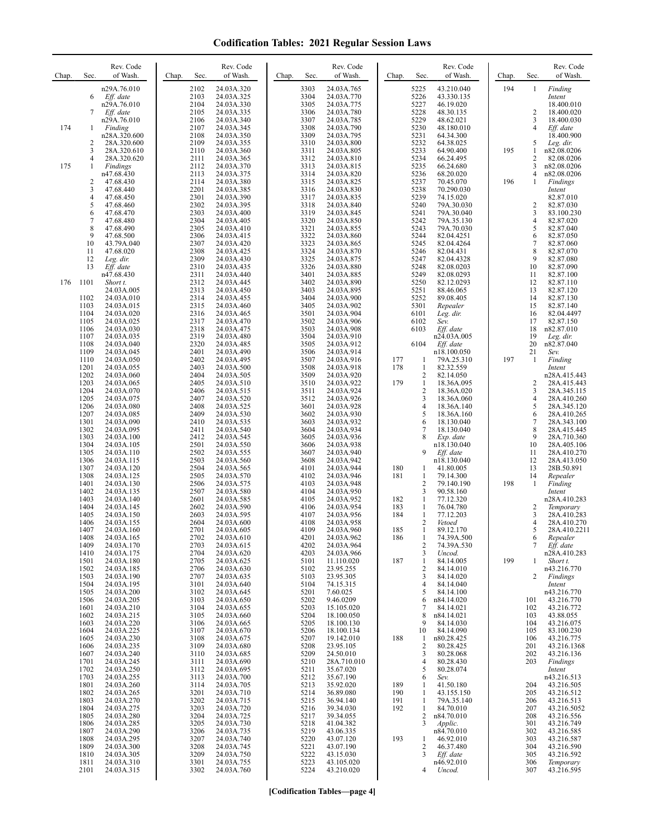| Chap. | Sec.                                 | Rev. Code<br>of Wash.                                                | Chap. | Sec.                                 | Rev. Code<br>of Wash.                                              | Chap. | Sec.                                 | Rev. Code<br>of Wash.                                              | Chap.             | Sec.                                             | Rev. Code<br>of Wash.                                                | Chap. | Sec.                                 | Rev. Code<br>of Wash.                                                   |
|-------|--------------------------------------|----------------------------------------------------------------------|-------|--------------------------------------|--------------------------------------------------------------------|-------|--------------------------------------|--------------------------------------------------------------------|-------------------|--------------------------------------------------|----------------------------------------------------------------------|-------|--------------------------------------|-------------------------------------------------------------------------|
|       | 6<br>7                               | n29A.76.010<br>Eff. date<br>n29A.76.010<br>Eff. date<br>n29A.76.010  |       | 2102<br>2103<br>2104<br>2105<br>2106 | 24.03A.320<br>24.03A.325<br>24.03A.330<br>24.03A.335<br>24.03A.340 |       | 3303<br>3304<br>3305<br>3306<br>3307 | 24.03A.765<br>24.03A.770<br>24.03A.775<br>24.03A.780<br>24.03A.785 |                   | 5225<br>5226<br>5227<br>5228<br>5229             | 43.210.040<br>43.330.135<br>46.19.020<br>48.30.135<br>48.62.021      | 194   | $\mathbf{1}$<br>$\overline{2}$<br>3  | Finding<br>Intent<br>18.400.010<br>18.400.020<br>18.400.030             |
| 174   | 1<br>$\overline{c}$<br>3<br>4        | Finding<br>n28A.320.600<br>28A.320.600<br>28A.320.610<br>28A.320.620 |       | 2107<br>2108<br>2109<br>2110<br>2111 | 24.03A.345<br>24.03A.350<br>24.03A.355<br>24.03A.360<br>24.03A.365 |       | 3308<br>3309<br>3310<br>3311<br>3312 | 24.03A.790<br>24.03A.795<br>24.03A.800<br>24.03A.805<br>24.03A.810 |                   | 5230<br>5231<br>5232<br>5233<br>5234             | 48.180.010<br>64.34.300<br>64.38.025<br>64.90.400<br>66.24.495       | 195   | $\overline{4}$<br>5<br>1<br>2        | Eff. date<br>18.400.900<br>Leg. dir.<br>n82.08.0206<br>82.08.0206       |
| 175   | 1<br>$\overline{c}$<br>3             | Findings<br>n47.68.430<br>47.68.430<br>47.68.440                     |       | 2112<br>2113<br>2114<br>2201         | 24.03A.370<br>24.03A.375<br>24.03A.380<br>24.03A.385               |       | 3313<br>3314<br>3315<br>3316         | 24.03A.815<br>24.03A.820<br>24.03A.825<br>24.03A.830               |                   | 5235<br>5236<br>5237<br>5238                     | 66.24.680<br>68.20.020<br>70.45.070<br>70.290.030                    | 196   | 3<br>4<br>$\mathbf{1}$               | n82.08.0206<br>n82.08.0206<br>Findings<br>Intent                        |
|       | 4<br>5<br>6<br>$\overline{7}$        | 47.68.450<br>47.68.460<br>47.68.470<br>47.68.480                     |       | 2301<br>2302<br>2303<br>2304         | 24.03A.390<br>24.03A.395<br>24.03A.400<br>24.03A.405               |       | 3317<br>3318<br>3319<br>3320         | 24.03A.835<br>24.03A.840<br>24.03A.845<br>24.03A.850               |                   | 5239<br>5240<br>5241<br>5242                     | 74.15.020<br>79A.30.030<br>79A.30.040<br>79A.35.130                  |       | 2<br>3<br>4                          | 82.87.010<br>82.87.030<br>83.100.230<br>82.87.020                       |
|       | 8<br>9<br>10<br>11<br>12             | 47.68.490<br>47.68.500<br>43.79A.040<br>47.68.020<br>Leg. dir.       |       | 2305<br>2306<br>2307<br>2308<br>2309 | 24.03A.410<br>24.03A.415<br>24.03A.420<br>24.03A.425<br>24.03A.430 |       | 3321<br>3322<br>3323<br>3324<br>3325 | 24.03A.855<br>24.03A.860<br>24.03A.865<br>24.03A.870<br>24.03A.875 |                   | 5243<br>5244<br>5245<br>5246<br>5247             | 79A.70.030<br>82.04.4251<br>82.04.4264<br>82.04.431<br>82.04.4328    |       | 5<br>6<br>$\tau$<br>$\,$ 8 $\,$<br>9 | 82.87.040<br>82.87.050<br>82.87.060<br>82.87.070<br>82.87.080           |
| 176   | 13<br>1101                           | Eff. date<br>n47.68.430<br>Short t.<br>24.03A.005                    |       | 2310<br>2311<br>2312<br>2313         | 24.03A.435<br>24.03A.440<br>24.03A.445<br>24.03A.450               |       | 3326<br>3401<br>3402<br>3403         | 24.03A.880<br>24.03A.885<br>24.03A.890<br>24.03A.895               |                   | 5248<br>5249<br>5250<br>5251                     | 82.08.0203<br>82.08.0293<br>82.12.0293<br>88.46.065                  |       | 10<br>11<br>12<br>13                 | 82.87.090<br>82.87.100<br>82.87.110<br>82.87.120                        |
|       | 1102<br>1103<br>1104<br>1105<br>1106 | 24.03A.010<br>24.03A.015<br>24.03A.020<br>24.03A.025<br>24.03A.030   |       | 2314<br>2315<br>2316<br>2317<br>2318 | 24.03A.455<br>24.03A.460<br>24.03A.465<br>24.03A.470<br>24.03A.475 |       | 3404<br>3405<br>3501<br>3502<br>3503 | 24.03A.900<br>24.03A.902<br>24.03A.904<br>24.03A.906<br>24.03A.908 |                   | 5252<br>5301<br>6101<br>6102<br>6103             | 89.08.405<br>Repealer<br>Leg. dir.<br>Sev.<br>Eff. date              |       | 14<br>15<br>16<br>17<br>18           | 82.87.130<br>82.87.140<br>82.04.4497<br>82.87.150<br>n82.87.010         |
|       | 1107<br>1108<br>1109<br>1110<br>1201 | 24.03A.035<br>24.03A.040<br>24.03A.045<br>24.03A.050<br>24.03A.055   |       | 2319<br>2320<br>2401<br>2402<br>2403 | 24.03A.480<br>24.03A.485<br>24.03A.490<br>24.03A.495<br>24.03A.500 |       | 3504<br>3505<br>3506<br>3507<br>3508 | 24.03A.910<br>24.03A.912<br>24.03A.914<br>24.03A.916<br>24.03A.918 | 177<br>178        | 6104<br>1<br>$\mathbf{1}$                        | n24.03A.005<br>$Eff.$ date<br>n18.100.050<br>79A.25.310<br>82.32.559 | 197   | 19<br>20<br>21<br>1                  | Leg. dir.<br>n82.87.040<br>Sev.<br>Finding<br>Intent                    |
|       | 1202<br>1203<br>1204<br>1205         | 24.03A.060<br>24.03A.065<br>24.03A.070<br>24.03A.075                 |       | 2404<br>2405<br>2406<br>2407         | 24.03A.505<br>24.03A.510<br>24.03A.515<br>24.03A.520               |       | 3509<br>3510<br>3511<br>3512         | 24.03A.920<br>24.03A.922<br>24.03A.924<br>24.03A.926               | 179               | $\overline{c}$<br>1<br>$\overline{2}$<br>3       | 82.14.050<br>18.36A.095<br>18.36A.020<br>18.36A.060                  |       | 2<br>3<br>$\overline{4}$             | n28A.415.443<br>28A.415.443<br>28A.345.115<br>28A.410.260               |
|       | 1206<br>1207<br>1301<br>1302<br>1303 | 24.03A.080<br>24.03A.085<br>24.03A.090<br>24.03A.095<br>24.03A.100   |       | 2408<br>2409<br>2410<br>2411<br>2412 | 24.03A.525<br>24.03A.530<br>24.03A.535<br>24.03A.540<br>24.03A.545 |       | 3601<br>3602<br>3603<br>3604<br>3605 | 24.03A.928<br>24.03A.930<br>24.03A.932<br>24.03A.934<br>24.03A.936 |                   | $\overline{4}$<br>5<br>6<br>7<br>8               | 18.36A.140<br>18.36A.160<br>18.130.040<br>18.130.040<br>Exp. date    |       | 5<br>6<br>7<br>8<br>9                | 28A.345.120<br>28A.410.265<br>28A.343.100<br>28A.415.445<br>28A.710.360 |
|       | 1304<br>1305<br>1306<br>1307<br>1308 | 24.03A.105<br>24.03A.110<br>24.03A.115<br>24.03A.120<br>24.03A.125   |       | 2501<br>2502<br>2503<br>2504<br>2505 | 24.03A.550<br>24.03A.555<br>24.03A.560<br>24.03A.565<br>24.03A.570 |       | 3606<br>3607<br>3608<br>4101<br>4102 | 24.03A.938<br>24.03A.940<br>24.03A.942<br>24.03A.944<br>24.03A.946 | 180<br>181        | 9<br>1<br>$\mathbf{1}$                           | n18.130.040<br>Eff. date<br>n18.130.040<br>41.80.005<br>79.14.300    |       | 10<br>11<br>12<br>13<br>14           | 28A.405.106<br>28A.410.270<br>28A.413.050<br>28B.50.891<br>Repealer     |
|       | 1401<br>1402<br>1403<br>1404         | 24.03A.130<br>24.03A.135<br>24.03A.140<br>24.03A.145                 |       | 2506<br>2507<br>2601<br>2602         | 24.03A.575<br>24.03A.580<br>24.03A.585<br>24.03A.590               |       | 4103<br>4104<br>4105<br>4106         | 24.03A.948<br>24.03A.950<br>24.03A.952<br>24.03A.954               | 182<br>183        | $\overline{2}$<br>3<br>1<br>1                    | 79.140.190<br>90.58.160<br>77.12.320<br>76.04.780                    | 198   | 1<br>2                               | Finding<br>Intent<br>n28A.410.283<br>Temporary                          |
|       | 1405<br>1406<br>1407<br>1408<br>1409 | 24.03A.150<br>24.03A.155<br>24.03A.160<br>24.03A.165<br>24.03A.170   |       | 2603<br>2604<br>2701<br>2702<br>2703 | 24.03A.595<br>24.03A.600<br>24.03A.605<br>24.03A.610<br>24.03A.615 |       | 4107<br>4108<br>4109<br>4201<br>4202 | 24.03A.956<br>24.03A.958<br>24.03A.960<br>24.03A.962<br>24.03A.964 | 184<br>185<br>186 | 1<br>$\overline{2}$<br>-1<br>1<br>$\overline{c}$ | 77.12.203<br>Vetoed<br>89.12.170<br>74.39A.500<br>74.39A.530         |       | 3<br>4<br>5<br>6<br>7                | 28A.410.283<br>28A.410.270<br>28A.410.2211<br>Repealer<br>Eff. date     |
|       | 1410<br>1501<br>1502<br>1503         | 24.03A.175<br>24.03A.180<br>24.03A.185<br>24.03A.190                 |       | 2704<br>2705<br>2706<br>2707         | 24.03A.620<br>24.03A.625<br>24.03A.630<br>24.03A.635               |       | 4203<br>5101<br>5102<br>5103         | 24.03A.966<br>11.110.020<br>23.95.255<br>23.95.305                 | 187               | 3<br>1<br>$\overline{2}$<br>3                    | Uncod.<br>84.14.005<br>84.14.010<br>84.14.020                        | 199   | 1<br>2                               | n28A.410.283<br>Short t.<br>n43.216.770<br>Findings                     |
|       | 1504<br>1505<br>1506<br>1601<br>1602 | 24.03A.195<br>24.03A.200<br>24.03A.205<br>24.03A.210<br>24.03A.215   |       | 3101<br>3102<br>3103<br>3104<br>3105 | 24.03A.640<br>24.03A.645<br>24.03A.650<br>24.03A.655<br>24.03A.660 |       | 5104<br>5201<br>5202<br>5203<br>5204 | 74.15.315<br>7.60.025<br>9.46.0209<br>15.105.020<br>18.100.050     |                   | 4<br>5<br>6<br>7<br>8                            | 84.14.040<br>84.14.100<br>n84.14.020<br>84.14.021<br>n84.14.021      |       | 101<br>102<br>103                    | Intent<br>n43.216.770<br>43.216.770<br>43.216.772<br>43.88.055          |
|       | 1603<br>1604<br>1605<br>1606<br>1607 | 24.03A.220<br>24.03A.225<br>24.03A.230<br>24.03A.235<br>24.03A.240   |       | 3106<br>3107<br>3108<br>3109<br>3110 | 24.03A.665<br>24.03A.670<br>24.03A.675<br>24.03A.680<br>24.03A.685 |       | 5205<br>5206<br>5207<br>5208<br>5209 | 18.100.130<br>18.100.134<br>19.142.010<br>23.95.105<br>24.50.010   | 188               | 9<br>10<br>1<br>$\overline{c}$<br>3              | 84.14.030<br>84.14.090<br>n80.28.425<br>80.28.425<br>80.28.068       |       | 104<br>105<br>106<br>201<br>202      | 43.216.075<br>83.100.230<br>43.216.775<br>43.216.1368<br>43.216.136     |
|       | 1701<br>1702<br>1703<br>1801<br>1802 | 24.03A.245<br>24.03A.250<br>24.03A.255<br>24.03A.260<br>24.03A.265   |       | 3111<br>3112<br>3113<br>3114<br>3201 | 24.03A.690<br>24.03A.695<br>24.03A.700<br>24.03A.705<br>24.03A.710 |       | 5210<br>5211<br>5212<br>5213<br>5214 | 28A.710.010<br>35.67.020<br>35.67.190<br>35.92.020<br>36.89.080    | 189<br>190        | 4<br>5<br>6<br>-1<br>-1                          | 80.28.430<br>80.28.074<br>Sev.<br>41.50.180<br>43.155.150            |       | 203<br>204<br>205                    | Findings<br>Intent<br>n43.216.513<br>43.216.505<br>43.216.512           |
|       | 1803<br>1804<br>1805<br>1806         | 24.03A.270<br>24.03A.275<br>24.03A.280<br>24.03A.285                 |       | 3202<br>3203<br>3204<br>3205         | 24.03A.715<br>24.03A.720<br>24.03A.725<br>24.03A.730               |       | 5215<br>5216<br>5217<br>5218         | 36.94.140<br>39.34.030<br>39.34.055<br>41.04.382                   | 191<br>192        | 1<br>1<br>2<br>3                                 | 79A.35.140<br>84.70.010<br>n84.70.010<br>Applic.                     |       | 206<br>207<br>208<br>301             | 43.216.513<br>43.216.5052<br>43.216.556<br>43.216.749                   |
|       | 1807<br>1808<br>1809<br>1810<br>1811 | 24.03A.290<br>24.03A.295<br>24.03A.300<br>24.03A.305<br>24.03A.310   |       | 3206<br>3207<br>3208<br>3209<br>3301 | 24.03A.735<br>24.03A.740<br>24.03A.745<br>24.03A.750<br>24.03A.755 |       | 5219<br>5220<br>5221<br>5222<br>5223 | 43.06.335<br>43.07.120<br>43.07.190<br>43.15.030<br>43.105.020     | 193               | 1<br>2<br>3                                      | n84.70.010<br>46.92.010<br>46.37.480<br>$Eff.$ date<br>n46.92.010    |       | 302<br>303<br>304<br>305<br>306      | 43.216.585<br>43.216.587<br>43.216.590<br>43.216.592<br>Temporary       |
|       | 2101                                 | 24.03A.315                                                           |       | 3302                                 | 24.03A.760                                                         |       | 5224                                 | 43.210.020                                                         |                   | $\overline{4}$                                   | Uncod.                                                               |       | 307                                  | 43.216.595                                                              |

**[Codification Tables—page 4]**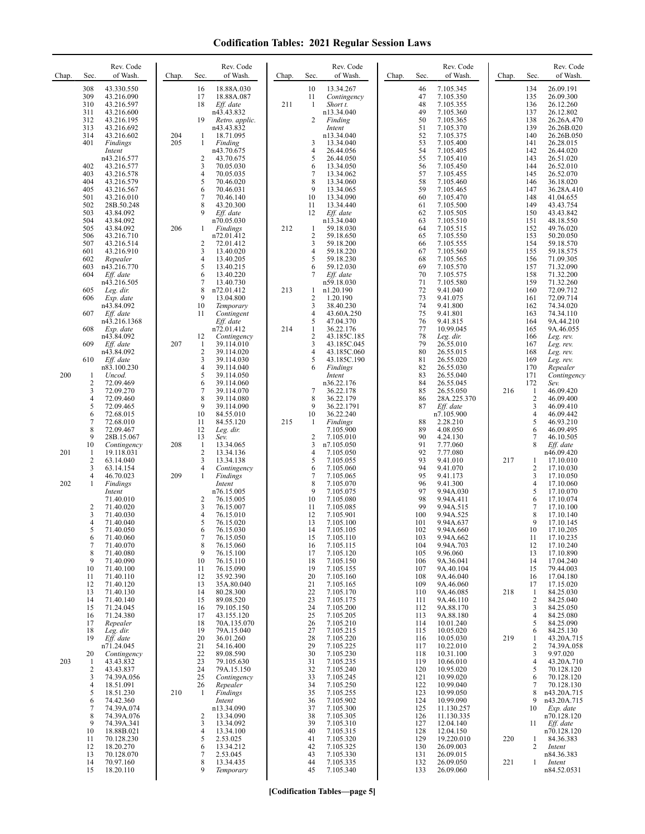| Chap. | Sec.                            | Rev. Code<br>of Wash.                                                           | Chap.      | Sec.                                          | Rev. Code<br>of Wash.                                                            | Chap. | Sec.                                             | Rev. Code<br>of Wash.                                                              | Chap. | Sec.                                   | Rev. Code<br>of Wash.                                                        | Chap.      | Sec.                                                | Rev. Code<br>of Wash.                                                             |
|-------|---------------------------------|---------------------------------------------------------------------------------|------------|-----------------------------------------------|----------------------------------------------------------------------------------|-------|--------------------------------------------------|------------------------------------------------------------------------------------|-------|----------------------------------------|------------------------------------------------------------------------------|------------|-----------------------------------------------------|-----------------------------------------------------------------------------------|
|       | 308<br>309<br>310<br>311<br>312 | 43.330.550<br>43.216.090<br>43.216.597<br>43.216.600<br>43.216.195              |            | 16<br>17<br>18<br>19                          | 18.88A.030<br>18.88A.087<br>Eff. date<br>n43.43.832<br>Retro. applic.            | 211   | 10<br>11<br>1<br>2                               | 13.34.267<br>Contingency<br>Short t.<br>n13.34.040<br>Finding                      |       | 46<br>47<br>48<br>49<br>50             | 7.105.345<br>7.105.350<br>7.105.355<br>7.105.360<br>7.105.365                |            | 134<br>135<br>136<br>137<br>138                     | 26.09.191<br>26.09.300<br>26.12.260<br>26.12.802<br>26.26A.470                    |
|       | 313<br>314<br>401               | 43.216.692<br>43.216.602<br>Findings<br>Intent<br>n43.216.577                   | 204<br>205 | 1<br>1<br>$\overline{c}$                      | n43.43.832<br>18.71.095<br>Finding<br>n43.70.675<br>43.70.675                    |       | 3<br>4<br>5                                      | Intent<br>n13.34.040<br>13.34.040<br>26.44.056<br>26.44.050                        |       | 51<br>52<br>53<br>54<br>55             | 7.105.370<br>7.105.375<br>7.105.400<br>7.105.405<br>7.105.410                |            | 139<br>140<br>141<br>142<br>143                     | 26.26B.020<br>26.26B.050<br>26.28.015<br>26.44.020<br>26.51.020                   |
|       | 402<br>403<br>404<br>405<br>501 | 43.216.577<br>43.216.578<br>43.216.579<br>43.216.567<br>43.216.010              |            | 3<br>4<br>5<br>6<br>$\overline{7}$            | 70.05.030<br>70.05.035<br>70.46.020<br>70.46.031<br>70.46.140                    |       | 6<br>7<br>8<br>9<br>10                           | 13.34.050<br>13.34.062<br>13.34.060<br>13.34.065<br>13.34.090                      |       | 56<br>57<br>58<br>59<br>60             | 7.105.450<br>7.105.455<br>7.105.460<br>7.105.465<br>7.105.470                |            | 144<br>145<br>146<br>147<br>148                     | 26.52.010<br>26.52.070<br>36.18.020<br>36.28A.410<br>41.04.655                    |
|       | 502<br>503<br>504<br>505<br>506 | 28B.50.248<br>43.84.092<br>43.84.092<br>43.84.092<br>43.216.710                 | 206        | 8<br>9<br>$\mathbf{1}$                        | 43.20.300<br>Eff. date<br>n70.05.030<br><b>Findings</b><br>n72.01.412            | 212   | 11<br>12<br>1<br>$\overline{c}$                  | 13.34.440<br>Eff. date<br>n13.34.040<br>59.18.030<br>59.18.650                     |       | 61<br>62<br>63<br>64<br>65             | 7.105.500<br>7.105.505<br>7.105.510<br>7.105.515<br>7.105.550                |            | 149<br>150<br>151<br>152<br>153                     | 43.43.754<br>43.43.842<br>48.18.550<br>49.76.020<br>50.20.050                     |
|       | 507<br>601<br>602<br>603<br>604 | 43.216.514<br>43.216.910<br>Repealer<br>n43.216.770<br>Eff. date                |            | 2<br>3<br>4<br>5<br>6                         | 72.01.412<br>13.40.020<br>13.40.205<br>13.40.215<br>13.40.220                    |       | 3<br>4<br>5<br>6<br>7                            | 59.18.200<br>59.18.220<br>59.18.230<br>59.12.030<br>Eff. date                      |       | 66<br>67<br>68<br>69<br>70             | 7.105.555<br>7.105.560<br>7.105.565<br>7.105.570<br>7.105.575                |            | 154<br>155<br>156<br>157<br>158                     | 59.18.570<br>59.18.575<br>71.09.305<br>71.32.090<br>71.32.200                     |
|       | 605<br>606<br>607               | n43.216.505<br>Leg. dir.<br>Exp. date<br>n43.84.092<br>Eff. date                |            | $\overline{7}$<br>8<br>9<br>10<br>11          | 13.40.730<br>n72.01.412<br>13.04.800<br>Temporary<br>Contingent                  | 213   | 1<br>2<br>3<br>4                                 | n59.18.030<br>n1.20.190<br>1.20.190<br>38.40.230<br>43.60A.250                     |       | 71<br>72<br>73<br>74<br>75             | 7.105.580<br>9.41.040<br>9.41.075<br>9.41.800<br>9.41.801                    |            | 159<br>160<br>161<br>162<br>163                     | 71.32.260<br>72.09.712<br>72.09.714<br>74.34.020<br>74.34.110                     |
|       | 608<br>609<br>610               | n43.216.1368<br>Exp. date<br>n43.84.092<br>Eff. date<br>n43.84.092<br>Eff. date | 207        | 12<br>-1<br>$\overline{c}$<br>3               | Eff. date<br>n72.01.412<br>Contingency<br>39.114.010<br>39.114.020<br>39.114.030 | 214   | 5<br>1<br>$\sqrt{2}$<br>3<br>$\overline{4}$<br>5 | 47.04.370<br>36.22.176<br>43.185C.185<br>43.185C.045<br>43.185C.060<br>43.185C.190 |       | 76<br>77<br>78<br>79<br>80<br>81       | 9.41.815<br>10.99.045<br>Leg. dir.<br>26.55.010<br>26.55.015<br>26.55.020    |            | 164<br>165<br>166<br>167<br>168<br>169              | 9A.44.210<br>9A.46.055<br>Leg. rev.<br>Leg. rev.<br>Leg. rev.<br>Leg. rev.        |
| 200   | -1<br>2<br>3<br>4               | n83.100.230<br>Uncod.<br>72.09.469<br>72.09.270<br>72.09.460                    |            | 4<br>5<br>6<br>$\tau$<br>8                    | 39.114.040<br>39.114.050<br>39.114.060<br>39.114.070<br>39.114.080               |       | 6<br>7<br>8                                      | Findings<br>Intent<br>n36.22.176<br>36.22.178<br>36.22.179                         |       | 82<br>83<br>84<br>85<br>86             | 26.55.030<br>26.55.040<br>26.55.045<br>26.55.050<br>28A.225.370              | 216        | 170<br>171<br>172<br>$\mathbf{1}$<br>$\overline{2}$ | Repealer<br>Contingency<br>Sev.<br>46.09.420<br>46.09.400                         |
|       | 5<br>6<br>7<br>8<br>9           | 72.09.465<br>72.68.015<br>72.68.010<br>72.09.467<br>28B.15.067                  |            | 9<br>10<br>11<br>12<br>13                     | 39.114.090<br>84.55.010<br>84.55.120<br>Leg. dir.<br>Sev.                        | 215   | 9<br>10<br>1<br>$\overline{c}$                   | 36.22.1791<br>36.22.240<br>Findings<br>7.105.900<br>7.105.010                      |       | 87<br>88<br>89<br>90                   | Eff. date<br>n7.105.900<br>2.28.210<br>4.08.050<br>4.24.130                  |            | $\mathfrak{Z}$<br>$\overline{4}$<br>5<br>6<br>7     | 46.09.410<br>46.09.442<br>46.93.210<br>46.09.495<br>46.10.505                     |
| 201   | 10<br>1<br>2<br>3<br>4          | Contingency<br>19.118.031<br>63.14.040<br>63.14.154<br>46.70.023                | 208<br>209 | $\mathbf{1}$<br>$\overline{c}$<br>3<br>4<br>1 | 13.34.065<br>13.34.136<br>13.34.138<br>Contingency<br>Findings                   |       | 3<br>4<br>5<br>6<br>7                            | n7.105.050<br>7.105.050<br>7.105.055<br>7.105.060<br>7.105.065                     |       | 91<br>92<br>93<br>94<br>95             | 7.77.060<br>7.77.080<br>9.41.010<br>9.41.070<br>9.41.173                     | 217        | 8<br>1<br>$\overline{2}$<br>3                       | Eff. date<br>n46.09.420<br>17.10.010<br>17.10.030<br>17.10.050                    |
| 202   | 1<br>2<br>3                     | Findings<br>Intent<br>71.40.010<br>71.40.020<br>71.40.030                       |            | 2<br>3<br>$\overline{4}$                      | Intent<br>n76.15.005<br>76.15.005<br>76.15.007<br>76.15.010                      |       | 8<br>9<br>10<br>11<br>12                         | 7.105.070<br>7.105.075<br>7.105.080<br>7.105.085<br>7.105.901                      |       | 96<br>97<br>98<br>99<br>100            | 9.41.300<br>9.94A.030<br>9.94A.411<br>9.94A.515<br>9.94A.525                 |            | 4<br>5<br>6<br>7<br>8                               | 17.10.060<br>17.10.070<br>17.10.074<br>17.10.100<br>17.10.140                     |
|       | 4<br>C<br>6<br>7<br>8<br>9      | 71.40.040<br>71.40.050<br>71.40.060<br>71.40.070<br>71.40.080<br>71.40.090      |            | 5<br>6<br>$\tau$<br>8<br>9<br>10              | 76.15.020<br>76.15.030<br>76.15.050<br>76.15.060<br>76.15.100<br>76.15.110       |       | 13<br>14<br>15<br>16<br>17<br>18                 | 7.105.100<br>7.105.105<br>7.105.110<br>7.105.115<br>7.105.120<br>7.105.150         |       | 101<br>102<br>103<br>104<br>105<br>106 | 9.94A.637<br>9.94A.660<br>9.94A.662<br>9.94A.703<br>9.96.060<br>9A.36.041    |            | 9<br>10<br>11<br>12<br>13<br>14                     | 17.10.145<br>17.10.205<br>17.10.235<br>17.10.240<br>17.10.890<br>17.04.240        |
|       | 10<br>11<br>12<br>13<br>14      | 71.40.100<br>71.40.110<br>71.40.120<br>71.40.130<br>71.40.140                   |            | 11<br>12<br>13<br>14<br>15                    | 76.15.090<br>35.92.390<br>35A.80.040<br>80.28.300<br>89.08.520                   |       | 19<br>20<br>21<br>22<br>23                       | 7.105.155<br>7.105.160<br>7.105.165<br>7.105.170<br>7.105.175                      |       | 107<br>108<br>109<br>110<br>111        | 9A.40.104<br>9A.46.040<br>9A.46.060<br>9A.46.085<br>9A.46.110                | 218        | 15<br>16<br>17<br>1<br>$\overline{c}$               | 79.44.003<br>17.04.180<br>17.15.020<br>84.25.030<br>84.25.040                     |
|       | 15<br>16<br>17<br>18<br>19      | 71.24.045<br>71.24.380<br>Repealer<br>Leg. dir.<br>Eff. date                    |            | 16<br>17<br>18<br>19<br>20                    | 79.105.150<br>43.155.120<br>70A.135.070<br>79A.15.040<br>36.01.260               |       | 24<br>25<br>26<br>27<br>28                       | 7.105.200<br>7.105.205<br>7.105.210<br>7.105.215<br>7.105.220                      |       | 112<br>113<br>114<br>115<br>116        | 9A.88.170<br>9A.88.180<br>10.01.240<br>10.05.020<br>10.05.030                | 219        | 3<br>$\overline{4}$<br>5<br>6<br>1                  | 84.25.050<br>84.25.080<br>84.25.090<br>84.25.130<br>43.20A.715                    |
| 203   | 20<br>-1<br>2<br>3              | n71.24.045<br>Contingency<br>43.43.832<br>43.43.837<br>74.39A.056               |            | 21<br>22<br>23<br>24<br>25                    | 54.16.400<br>89.08.590<br>79.105.630<br>79A.15.150<br>Contingency                |       | 29<br>30<br>31<br>32<br>33                       | 7.105.225<br>7.105.230<br>7.105.235<br>7.105.240<br>7.105.245                      |       | 117<br>118<br>119<br>120<br>121        | 10.22.010<br>10.31.100<br>10.66.010<br>10.95.020<br>10.99.020                |            | 2<br>3<br>$\overline{4}$<br>5<br>6                  | 74.39A.058<br>9.97.020<br>43.20A.710<br>70.128.120<br>70.128.120                  |
|       | 4<br>5<br>6<br>7<br>8<br>9      | 18.51.091<br>18.51.230<br>74.42.360<br>74.39A.074<br>74.39A.076<br>74.39A.341   | 210        | 26<br>1<br>2<br>3                             | Repealer<br>Findings<br>Intent<br>n13.34.090<br>13.34.090<br>13.34.092           |       | 34<br>35<br>36<br>37<br>38<br>39                 | 7.105.250<br>7.105.255<br>7.105.902<br>7.105.300<br>7.105.305<br>7.105.310         |       | 122<br>123<br>124<br>125<br>126<br>127 | 10.99.040<br>10.99.050<br>10.99.090<br>11.130.257<br>11.130.335<br>12.04.140 |            | 7<br>8<br>9<br>10<br>11                             | 70.128.130<br>n43.20A.715<br>n43.20A.715<br>Exp. date<br>n70.128.120<br>Eff. date |
|       | 10<br>11<br>12<br>13<br>14      | 18.88B.021<br>70.128.230<br>18.20.270<br>70.128.070<br>70.97.160                |            | 4<br>5<br>6<br>7<br>8                         | 13.34.100<br>2.53.025<br>13.34.212<br>2.53.045<br>13.34.435                      |       | 40<br>41<br>42<br>43<br>44                       | 7.105.315<br>7.105.320<br>7.105.325<br>7.105.330<br>7.105.335                      |       | 128<br>129<br>130<br>131<br>132        | 12.04.150<br>19.220.010<br>26.09.003<br>26.09.015<br>26.09.050               | 220<br>221 | 1<br>2<br>1                                         | n70.128.120<br>84.36.383<br>Intent<br>n84.36.383<br>Intent                        |
|       | 15                              | 18.20.110                                                                       |            | 9                                             | Temporary                                                                        |       | 45                                               | 7.105.340                                                                          |       | 133                                    | 26.09.060                                                                    |            |                                                     | n84.52.0531                                                                       |

**[Codification Tables—page 5]**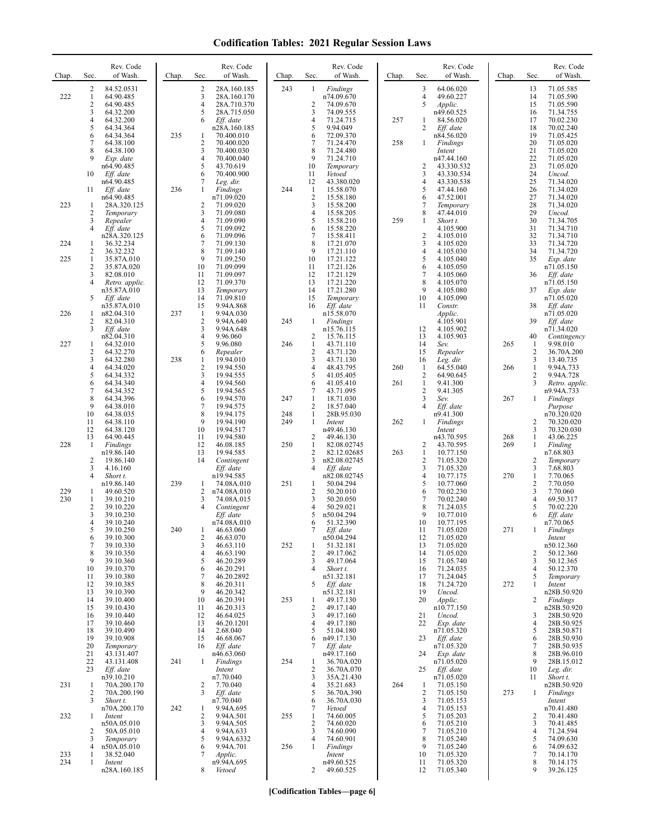| Chap.      | Sec.                | Rev. Code<br>of Wash.       | Chap. | Sec.                           | Rev. Code<br>of Wash.      | Chap. | Sec.                 | Rev. Code<br>of Wash.      | Chap. | Sec.                | Rev. Code<br>of Wash.    | Chap. | Sec.                       | Rev. Code<br>of Wash.     |
|------------|---------------------|-----------------------------|-------|--------------------------------|----------------------------|-------|----------------------|----------------------------|-------|---------------------|--------------------------|-------|----------------------------|---------------------------|
| 222        | 2<br>$\mathbf{1}$   | 84.52.0531<br>64.90.485     |       | $\overline{\mathbf{c}}$<br>3   | 28A.160.185<br>28A.160.170 | 243   | 1                    | Findings<br>n74.09.670     |       | 3<br>$\overline{4}$ | 64.06.020<br>49.60.227   |       | 13<br>14                   | 71.05.585<br>71.05.590    |
|            | $\overline{c}$<br>3 | 64.90.485<br>64.32.200      |       | $\overline{4}$<br>5            | 28A.710.370<br>28A.715.050 |       | $\overline{2}$<br>3  | 74.09.670<br>74.09.555     |       | 5                   | Applic.<br>n49.60.525    |       | 15<br>16                   | 71.05.590<br>71.34.755    |
|            | 4                   | 64.32.200                   |       | 6                              | Eff. date                  |       | $\overline{4}$       | 71.24.715                  | 257   | 1                   | 84.56.020                |       | 17                         | 70.02.230                 |
|            | 5<br>6              | 64.34.364<br>64.34.364      | 235   | 1                              | n28A.160.185<br>70.400.010 |       | 5<br>6               | 9.94.049<br>72.09.370      |       | 2                   | Eff. date<br>n84.56.020  |       | 18<br>19                   | 70.02.240<br>71.05.425    |
|            | 7<br>8              | 64.38.100<br>64.38.100      |       | $\overline{\mathbf{c}}$<br>3   | 70.400.020<br>70.400.030   |       | 7<br>8               | 71.24.470<br>71.24.480     | 258   | 1                   | Findings<br>Intent       |       | 20<br>21                   | 71.05.020<br>71.05.020    |
|            | 9                   | Exp. date                   |       | 4                              | 70.400.040                 |       | 9                    | 71.24.710                  |       |                     | n47.44.160               |       | 22                         | 71.05.020                 |
|            | 10                  | n64.90.485<br>Eff. date     |       | 5<br>6                         | 43.70.619<br>70.400.900    |       | 10<br>11             | Temporary<br>Vetoed        |       | $\overline{2}$<br>3 | 43.330.532<br>43.330.534 |       | 23<br>24                   | 71.05.020<br>Uncod.       |
|            | 11                  | n64.90.485<br>Eff. date     | 236   | 7<br>1                         | Leg. dir.<br>Findings      | 244   | 12<br>$\mathbf{1}$   | 43.380.020<br>15.58.070    |       | 4<br>5              | 43.330.538<br>47.44.160  |       | 25<br>26                   | 71.34.020<br>71.34.020    |
| 223        | 1                   | n64.90.485<br>28A.320.125   |       | 2                              | n71.09.020<br>71.09.020    |       | $\overline{2}$<br>3  | 15.58.180<br>15.58.200     |       | 6<br>7              | 47.52.001                |       | 27<br>28                   | 71.34.020<br>71.34.020    |
|            | 2                   | Temporary                   |       | 3                              | 71.09.080                  |       | 4                    | 15.58.205                  |       | 8                   | Temporary<br>47.44.010   |       | 29                         | Uncod.                    |
|            | 3<br>4              | Repealer<br>Eff. date       |       | $\overline{4}$<br>5            | 71.09.090<br>71.09.092     |       | 5<br>6               | 15.58.210<br>15.58.220     | 259   | 1                   | Short t.<br>4.105.900    |       | 30<br>31                   | 71.34.705<br>71.34.710    |
| 224        | 1                   | n28A.320.125<br>36.32.234   |       | 6<br>7                         | 71.09.096<br>71.09.130     |       | 7<br>8               | 15.58.411<br>17.21.070     |       | $\overline{c}$<br>3 | 4.105.010<br>4.105.020   |       | 32<br>33                   | 71.34.710<br>71.34.720    |
|            | 2                   | 36.32.232                   |       | 8                              | 71.09.140                  |       | 9                    | 17.21.110                  |       | 4                   | 4.105.030                |       | 34                         | 71.34.720                 |
| 225        | 1<br>2              | 35.87A.010<br>35.87A.020    |       | 9<br>10                        | 71.09.250<br>71.09.099     |       | 10<br>11             | 17.21.122<br>17.21.126     |       | 5<br>6              | 4.105.040<br>4.105.050   |       | 35                         | Exp. date<br>n71.05.150   |
|            | 3<br>4              | 82.08.010<br>Retro. applic. |       | 11<br>12                       | 71.09.097<br>71.09.370     |       | 12<br>13             | 17.21.129<br>17.21.220     |       | 7<br>8              | 4.105.060<br>4.105.070   |       | 36                         | Eff. date<br>n71.05.150   |
|            |                     | n35.87A.010                 |       | 13<br>14                       | Temporary                  |       | 14<br>15             | 17.21.280                  |       | 9<br>10             | 4.105.080                |       | 37                         | Exp. date                 |
|            | 5                   | Eff. date<br>n35.87A.010    |       | 15                             | 71.09.810<br>9.94A.868     |       | 16                   | Temporary<br>Eff. date     |       | 11                  | 4.105.090<br>Constr.     |       | 38                         | n71.05.020<br>Eff. date   |
| 226        | 1<br>2              | n82.04.310<br>82.04.310     | 237   | $\mathbf{1}$<br>$\overline{2}$ | 9.94A.030<br>9.94A.640     | 245   | 1                    | n15.58.070<br>Findings     |       |                     | Applic.<br>4.105.901     |       | 39                         | n71.05.020<br>Eff. date   |
|            | 3                   | Eff. date<br>n82.04.310     |       | 3<br>$\overline{4}$            | 9.94A.648<br>9.96.060      |       | 2                    | n15.76.115<br>15.76.115    |       | 12<br>13            | 4.105.902<br>4.105.903   |       | 40                         | n71.34.020<br>Contingency |
| 227        | 1                   | 64.32.010                   |       | 5                              | 9.96.080                   | 246   | $\mathbf{1}$         | 43.71.110                  |       | 14                  | Sev.                     | 265   | $\mathbf{1}$               | 9.98.010                  |
|            | 2<br>3              | 64.32.270<br>64.32.280      | 238   | 6<br>$\mathbf{1}$              | Repealer<br>19.94.010      |       | $\overline{2}$<br>3  | 43.71.120<br>43.71.130     |       | 15<br>16            | Repealer<br>Leg. dir.    |       | 2<br>3                     | 36.70A.200<br>13.40.735   |
|            | 4<br>5              | 64.34.020<br>64.34.332      |       | $\overline{c}$<br>3            | 19.94.550<br>19.94.555     |       | 4<br>5               | 48.43.795<br>41.05.405     | 260   | 1<br>$\overline{c}$ | 64.55.040<br>64.90.645   | 266   | 1<br>2                     | 9.94A.733<br>9.94A.728    |
|            | 6<br>$\overline{7}$ | 64.34.340                   |       | 4<br>5                         | 19.94.560<br>19.94.565     |       | 6<br>7               | 41.05.410<br>43.71.095     | 261   | 1<br>$\overline{2}$ | 9.41.300<br>9.41.305     |       | 3                          | Retro. applic.            |
|            | 8                   | 64.34.352<br>64.34.396      |       | 6                              | 19.94.570                  | 247   | 1                    | 18.71.030                  |       | 3                   | Sev.                     | 267   | 1                          | n9.94A.733<br>Findings    |
|            | 9<br>10             | 64.38.010<br>64.38.035      |       | 7<br>8                         | 19.94.575<br>19.94.175     | 248   | $\overline{2}$<br>-1 | 18.57.040<br>28B.95.030    |       | 4                   | Eff. date<br>n9.41.300   |       |                            | Purpose<br>n70.320.020    |
|            | 11<br>12            | 64.38.110<br>64.38.120      |       | 9<br>10                        | 19.94.190<br>19.94.517     | 249   | 1                    | Intent<br>n49.46.130       | 262   | 1                   | Findings<br>Intent       |       | 2<br>3                     | 70.320.020<br>70.320.030  |
|            | 13                  | 64.90.445                   |       | 11                             | 19.94.580                  |       | $\overline{2}$       | 49.46.130                  |       |                     | n43.70.595               | 268   | $\mathbf{1}$               | 43.06.225                 |
| 228        | 1                   | Findings<br>n19.86.140      |       | 12<br>13                       | 46.08.185<br>19.94.585     | 250   | $\mathbf{1}$<br>2    | 82.08.02745<br>82.12.02685 | 263   | 2<br>1              | 43.70.595<br>10.77.150   | 269   | $\mathbf{1}$               | Finding<br>n7.68.803      |
|            | $\overline{2}$<br>3 | 19.86.140<br>4.16.160       |       | 14                             | Contingent<br>Eff. date    |       | 3<br>4               | n82.08.02745<br>Eff. date  |       | $\overline{2}$<br>3 | 71.05.320<br>71.05.320   |       | $\overline{2}$<br>3        | Temporary<br>7.68.803     |
|            | 4                   | Short t.<br>n19.86.140      | 239   | 1                              | n19.94.585<br>74.08A.010   | 251   | 1                    | n82.08.02745<br>50.04.294  |       | 4<br>5              | 10.77.175<br>10.77.060   | 270   | $\mathbf{1}$<br>$\sqrt{2}$ | 7.70.065<br>7.70.050      |
| 229        | 1                   | 49.60.520                   |       | 2                              | n74.08A.010                |       | $\overline{2}$       | 50.20.010                  |       | 6                   | 70.02.230                |       | 3                          | 7.70.060                  |
| 230        | 1<br>$\overline{c}$ | 39.10.210<br>39.10.220      |       | 3<br>4                         | 74.08A.015<br>Contingent   |       | 3<br>4               | 50.20.050<br>50.29.021     |       | 7<br>8              | 70.02.240<br>71.24.035   |       | 4<br>5                     | 69.50.317<br>70.02.220    |
|            | 3<br>4              | 39.10.230<br>39.10.240      |       |                                | Eff. date<br>n74.08A.010   |       | 5<br>6               | n50.04.294<br>51.32.390    |       | 9<br>10             | 10.77.010<br>10.77.195   |       | 6                          | Eff. date<br>n7.70.065    |
|            | ς<br>6              | 39.10.250<br>39.10.300      | 240   | -1<br>2                        | 46.63.060<br>46.63.070     |       |                      | Eff. date<br>n50.04.294    |       | 11<br>12            | 71.05.020<br>71.05.020   | 271   |                            | Findings                  |
|            | $\tau$              | 39.10.330                   |       | 3                              | 46.63.110                  | 252   | 1                    | 51.32.181                  |       | 13                  | 71.05.020                |       |                            | Intent<br>n50.12.360      |
|            | 8<br>9              | 39.10.350<br>39.10.360      |       | 4<br>5                         | 46.63.190<br>46.20.289     |       | $\overline{2}$<br>3  | 49.17.062<br>49.17.064     |       | 14<br>15            | 71.05.020<br>71.05.740   |       | 2<br>3                     | 50.12.360<br>50.12.365    |
|            | 10<br>11            | 39.10.370<br>39.10.380      |       | 6<br>7                         | 46.20.291<br>46.20.2892    |       | 4                    | Short t.<br>n51.32.181     |       | 16<br>17            | 71.24.035<br>71.24.045   |       | $\overline{4}$<br>5        | 50.12.370<br>Temporary    |
|            | 12                  | 39.10.385                   |       | 8                              | 46.20.311                  |       | 5                    | Eff. date                  |       | 18                  | 71.24.720                | 272   | 1                          | Intent                    |
|            | 13<br>14            | 39.10.390<br>39.10.400      |       | 9<br>10                        | 46.20.342<br>46.20.391     | 253   | 1                    | n51.32.181<br>49.17.130    |       | 19<br>20            | Uncod.<br>Applic.        |       | 2                          | n28B.50.920<br>Findings   |
|            | 15<br>16            | 39.10.430<br>39.10.440      |       | 11<br>12                       | 46.20.313<br>46.64.025     |       | $\overline{c}$<br>3  | 49.17.140<br>49.17.160     |       | 21                  | n10.77.150<br>Uncod.     |       | 3                          | n28B.50.920<br>28B.50.920 |
|            | 17<br>18            | 39.10.460<br>39.10.490      |       | 13<br>14                       | 46.20.1201<br>2.68.040     |       | 4<br>5               | 49.17.180<br>51.04.180     |       | 22                  | Exp. date<br>n71.05.320  |       | 4<br>5                     | 28B.50.925<br>28B.50.871  |
|            | 19                  | 39.10.908                   |       | 15                             | 46.68.067                  |       | 6                    | n49.17.130                 |       | 23                  | Eff. date                |       | 6                          | 28B.50.930                |
|            | 20<br>21            | Temporary<br>43.131.407     |       | 16                             | Eff. date<br>n46.63.060    |       | 7                    | Eff. date<br>n49.17.160    |       | 24                  | n71.05.320<br>Exp. date  |       | 7<br>8                     | 28B.50.935<br>28B.96.010  |
|            | 22<br>23            | 43.131.408<br>Eff. date     | 241   | 1                              | Findings<br>Intent         | 254   | 1<br>$\overline{2}$  | 36.70A.020<br>36.70A.070   |       | 25                  | n71.05.020<br>Eff. date  |       | 9<br>10                    | 28B.15.012<br>Leg. dir.   |
| 231        | -1                  | n39.10.210<br>70A.200.170   |       | 2                              | n7.70.040<br>7.70.040      |       | 3<br>$\overline{4}$  | 35A.21.430<br>35.21.683    | 264   | 1                   | n71.05.020<br>71.05.150  |       | 11                         | Short t.<br>n28B.50.920   |
|            | 2                   | 70A.200.190                 |       | 3                              | Eff. date                  |       | 5                    | 36.70A.390                 |       | 2                   | 71.05.150                | 273   | 1                          | Findings                  |
|            | 3                   | Short t.<br>n70A.200.170    | 242   | 1                              | n7.70.040<br>9.94A.695     |       | 6<br>7               | 36.70A.030<br>Vetoed       |       | 3<br>4              | 71.05.153<br>71.05.153   |       |                            | Intent<br>n70.41.480      |
| 232        | 1                   | Intent<br>n50A.05.010       |       | 2<br>3                         | 9.94A.501<br>9.94A.505     | 255   | 1<br>$\overline{2}$  | 74.60.005<br>74.60.020     |       | 5<br>6              | 71.05.203<br>71.05.210   |       | 2<br>3                     | 70.41.480<br>70.41.485    |
|            | $\overline{c}$<br>3 | 50A.05.010<br>Temporary     |       | 4<br>5                         | 9.94A.633<br>9.94A.6332    |       | 3<br>$\overline{4}$  | 74.60.090<br>74.60.901     |       | 7<br>8              | 71.05.210<br>71.05.240   |       | 4<br>5                     | 71.24.594<br>74.09.630    |
|            | 4                   | n50A.05.010                 |       | 6                              | 9.94A.701                  | 256   | $\mathbf{1}$         | Findings                   |       | 9                   | 71.05.240                |       | 6                          | 74.09.632                 |
| 233<br>234 | 1<br>1              | 38.52.040<br>Intent         |       | 7                              | Applic.<br>n9.94A.695      |       |                      | Intent<br>n49.60.525       |       | 10<br>11            | 71.05.320<br>71.05.320   |       | 7<br>8                     | 70.14.170<br>70.14.175    |
|            |                     | n28A.160.185                |       | 8                              | Vetoed                     |       | 2                    | 49.60.525                  |       | 12                  | 71.05.340                |       | 9                          | 39.26.125                 |

**[Codification Tables—page 6]**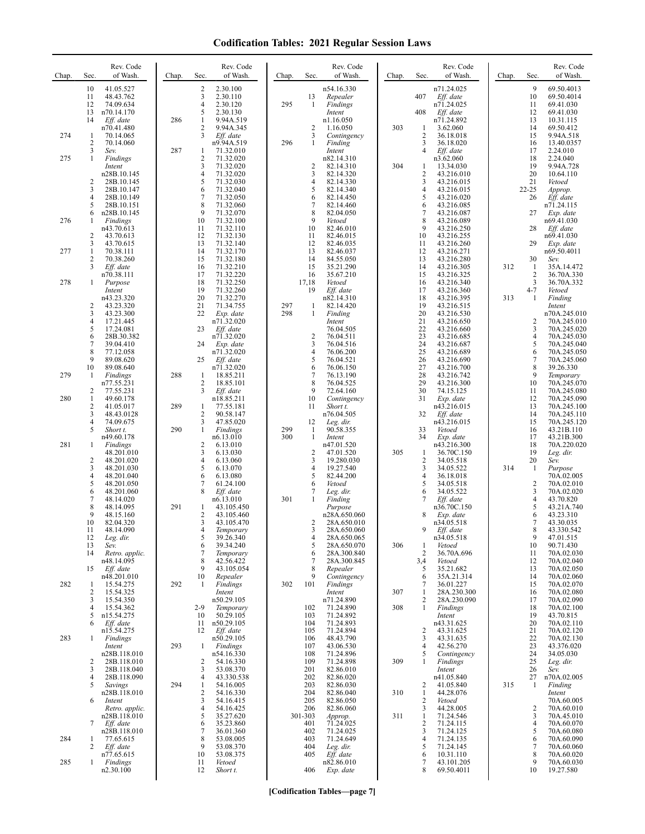| Chap. | Sec.                                            | Rev. Code<br>of Wash.                                                | Chap. | Sec.                                          | Rev. Code<br>of Wash.                                                 | Chap.      | Sec.                            | Rev. Code<br>of Wash.                                                | Chap.      | Sec.                                            | Rev. Code<br>of Wash.                                              | Chap. | Sec.                               | Rev. Code<br>of Wash.                                                   |
|-------|-------------------------------------------------|----------------------------------------------------------------------|-------|-----------------------------------------------|-----------------------------------------------------------------------|------------|---------------------------------|----------------------------------------------------------------------|------------|-------------------------------------------------|--------------------------------------------------------------------|-------|------------------------------------|-------------------------------------------------------------------------|
|       | 10<br>11<br>12<br>13<br>14                      | 41.05.527<br>48.43.762<br>74.09.634<br>n70.14.170<br>Eff. date       | 286   | 2<br>3<br>$\overline{4}$<br>5<br>$\mathbf{1}$ | 2.30.100<br>2.30.110<br>2.30.120<br>2.30.130                          | 295        | 13<br>-1                        | n54.16.330<br>Repealer<br>Findings<br>Intent<br>n1.16.050            |            | 407<br>408                                      | n71.24.025<br>Eff. date<br>n71.24.025<br>$Eff.$ date<br>n71.24.892 |       | 9<br>10<br>11<br>12<br>13          | 69.50.4013<br>69.50.4014<br>69.41.030<br>69.41.030                      |
| 274   | 1<br>$\overline{2}$<br>3                        | n70.41.480<br>70.14.065<br>70.14.060<br>Sev.                         | 287   | 2<br>3<br>1                                   | 9.94A.519<br>9.94A.345<br>Eff. date<br>n9.94A.519<br>71.32.010        | 296        | $\overline{2}$<br>3<br>1        | 1.16.050<br>Contingency<br>Finding<br>Intent                         | 303        | 1<br>$\overline{2}$<br>3<br>$\overline{4}$      | 3.62.060<br>36.18.018<br>36.18.020<br>Eff. date                    |       | 14<br>15<br>16<br>17               | 10.31.115<br>69.50.412<br>9.94A.518<br>13.40.0357<br>2.24.010           |
| 275   | 1<br>$\overline{2}$<br>3                        | Findings<br>Intent<br>n28B.10.145<br>28B.10.145<br>28B.10.147        |       | 2<br>3<br>$\overline{4}$<br>5<br>6            | 71.32.020<br>71.32.020<br>71.32.020<br>71.32.030<br>71.32.040         |            | $\overline{2}$<br>3<br>4<br>5   | n82.14.310<br>82.14.310<br>82.14.320<br>82.14.330<br>82.14.340       | 304        | 1<br>$\overline{2}$<br>3<br>$\overline{4}$      | n3.62.060<br>13.34.030<br>43.216.010<br>43.216.015<br>43.216.015   |       | 18<br>19<br>20<br>21<br>$22 - 25$  | 2.24.040<br>9.94A.728<br>10.64.110<br>Vetoed<br>Approp.                 |
| 276   | 4<br>5<br>6<br>1                                | 28B.10.149<br>28B.10.151<br>n28B.10.145<br>Findings<br>n43.70.613    |       | $\overline{7}$<br>8<br>9<br>10<br>11          | 71.32.050<br>71.32.060<br>71.32.070<br>71.32.100<br>71.32.110         |            | 6<br>7<br>8<br>9<br>10          | 82.14.450<br>82.14.460<br>82.04.050<br>Vetoed<br>82.46.010           |            | 5<br>6<br>$\overline{7}$<br>8<br>9              | 43.216.020<br>43.216.085<br>43.216.087<br>43.216.089<br>43.216.250 |       | 26<br>27<br>28                     | Eff. date<br>n71.24.115<br>Exp. date<br>n69.41.030<br>Eff. date         |
| 277   | 2<br>3<br>1<br>$\overline{c}$<br>3              | 43.70.613<br>43.70.615<br>70.38.111<br>70.38.260<br>Eff. date        |       | 12<br>13<br>14<br>15<br>16                    | 71.32.130<br>71.32.140<br>71.32.170<br>71.32.180<br>71.32.210         |            | 11<br>12<br>13<br>14<br>15      | 82.46.015<br>82.46.035<br>82.46.037<br>84.55.050<br>35.21.290        |            | 10<br>11<br>12<br>13<br>14                      | 43.216.255<br>43.216.260<br>43.216.271<br>43.216.280<br>43.216.305 | 312   | 29<br>30<br>-1                     | n69.41.030<br>Exp. date<br>n69.50.4011<br>Sev.<br>35A.14.472            |
| 278   | 1                                               | n70.38.111<br>Purpose<br>Intent<br>n43.23.320                        |       | 17<br>18<br>19<br>20<br>21                    | 71.32.220<br>71.32.250<br>71.32.260<br>71.32.270                      |            | 16<br>17,18<br>19               | 35.67.210<br>Vetoed<br>Eff. date<br>n82.14.310                       |            | 15<br>16<br>17<br>18                            | 43.216.325<br>43.216.340<br>43.216.360<br>43.216.395               | 313   | 2<br>3<br>$4 - 7$<br>1             | 36.70A.330<br>36.70A.332<br>Vetoed<br>Finding                           |
|       | 2<br>3<br>$\overline{4}$<br>5<br>6<br>7         | 43.23.320<br>43.23.300<br>17.21.445<br>17.24.081<br>28B.30.382       |       | 22<br>23<br>24                                | 71.34.755<br>Exp. date<br>n71.32.020<br>Eff. date<br>n71.32.020       | 297<br>298 | 1<br>1<br>$\overline{2}$<br>3   | 82.14.420<br>Finding<br>Intent<br>76.04.505<br>76.04.511             |            | 19<br>20<br>21<br>22<br>23<br>24                | 43.216.515<br>43.216.530<br>43.216.650<br>43.216.660<br>43.216.685 |       | 2<br>3<br>4<br>5                   | Intent<br>n70A.245.010<br>70A.245.010<br>70A.245.020<br>70A.245.030     |
| 279   | 8<br>9<br>10<br>$\mathbf{1}$                    | 39.04.410<br>77.12.058<br>89.08.620<br>89.08.640<br>Findings         | 288   | 25<br>1<br>$\overline{2}$                     | Exp. date<br>n71.32.020<br>Eff. date<br>n71.32.020<br>18.85.211       |            | 4<br>5<br>6<br>7<br>8           | 76.04.516<br>76.06.200<br>76.04.521<br>76.06.150<br>76.13.190        |            | 25<br>26<br>27<br>28                            | 43.216.687<br>43.216.689<br>43.216.690<br>43.216.700<br>43.216.742 |       | 6<br>7<br>8<br>9                   | 70A.245.040<br>70A.245.050<br>70A.245.060<br>39.26.330<br>Temporary     |
| 280   | 2<br>1<br>$\overline{c}$<br>3                   | n77.55.231<br>77.55.231<br>49.60.178<br>41.05.017<br>48.43.0128      | 289   | 3<br>$\mathbf{1}$<br>$\overline{2}$           | 18.85.101<br>Eff. date<br>n18.85.211<br>77.55.181<br>90.58.147        |            | 9<br>10<br>11                   | 76.04.525<br>72.64.160<br>Contingency<br>Short t.<br>n76.04.505      |            | 29<br>30<br>31<br>32                            | 43.216.300<br>74.15.125<br>Exp. date<br>n43.216.015<br>Eff. date   |       | 10<br>11<br>12<br>13<br>14         | 70A.245.070<br>70A.245.080<br>70A.245.090<br>70A.245.100<br>70A.245.110 |
| 281   | $\overline{4}$<br>5<br>1                        | 74.09.675<br>Short t.<br>n49.60.178<br>Findings<br>48.201.010        | 290   | 3<br>$\mathbf{1}$<br>2<br>3                   | 47.85.020<br>Findings<br>n6.13.010<br>6.13.010<br>6.13.030            | 299<br>300 | 12<br>-1<br>$\mathbf{1}$<br>2   | Leg. dir.<br>90.58.355<br>Intent<br>n47.01.520<br>47.01.520          | 305        | 33<br>34<br>1                                   | n43.216.015<br>Vetoed<br>Exp. date<br>n43.216.300<br>36.70C.150    |       | 15<br>16<br>17<br>18<br>19         | 70A.245.120<br>43.21B.110<br>43.21B.300<br>70A.220.020<br>Leg. dir.     |
|       | $\overline{c}$<br>3<br>$\overline{4}$<br>5<br>6 | 48.201.020<br>48.201.030<br>48.201.040<br>48.201.050<br>48.201.060   |       | 4<br>5<br>6<br>7<br>8                         | 6.13.060<br>6.13.070<br>6.13.080<br>61.24.100<br>Eff. date            |            | 3<br>4<br>5<br>6<br>7           | 19.280.030<br>19.27.540<br>82.44.200<br>Vetoed<br>Leg. dir.          |            | $\overline{c}$<br>3<br>$\overline{4}$<br>5<br>6 | 34.05.518<br>34.05.522<br>36.18.018<br>34.05.518<br>34.05.522      | 314   | 20<br>1<br>$\overline{c}$<br>3     | Sev.<br>Purpose<br>70A.02.005<br>70A.02.010<br>70A.02.020               |
|       | 7<br>8<br>9<br>10<br>11                         | 48.14.020<br>48.14.095<br>48.15.160<br>82.04.320<br>48.14.090        | 291   | 1<br>2<br>3<br>4                              | n6.13.010<br>43.105.450<br>43.105.460<br>43.105.470<br>Temporary      | 301        | 1<br>2<br>$\mathfrak{z}$        | Finding<br>Purpose<br>n28A.650.060<br>28A.650.010<br>28A.650.060     |            | $\overline{7}$<br>8                             | Eff. date<br>n36.70C.150<br>Exp. date<br>n34.05.518<br>Eff. date   |       | $\overline{4}$<br>5<br>6<br>7<br>8 | 43.70.820<br>43.21A.740<br>43.23.310<br>43.30.035<br>43.330.342         |
|       | 12<br>13<br>14<br>15                            | Leg. dir.<br>Sev.<br>Retro. applic.<br>n48.14.095<br>Eff. date       |       | 5<br>6<br>$\overline{7}$<br>8<br>9            | 39.26.340<br>39.34.240<br>Temporary<br>42.56.422<br>43.105.054        |            | 4<br>5<br>6<br>7<br>8           | 28A.650.065<br>28A.650.070<br>28A.300.840<br>28A.300.845<br>Repealer | 306        | -1<br>$\overline{2}$<br>3,4<br>5                | n34.05.518<br>Vetoed<br>36.70A.696<br>Vetoed<br>35.21.682          |       | 9<br>10<br>11<br>12<br>13          | 47.01.515<br>90.71.430<br>70A.02.030<br>70A.02.040<br>70A.02.050        |
| 282   | $\mathbf{1}$<br>$\overline{2}$<br>3<br>4        | n48.201.010<br>15.54.275<br>15.54.325<br>15.54.350<br>15.54.362      | 292   | 10<br>-1<br>$2-9$                             | Repealer<br>Findings<br>Intent<br>n50.29.105<br>Temporary             | 302        | 9<br>101<br>102                 | Contingency<br><b>Findings</b><br>Intent<br>n71.24.890<br>71.24.890  | 307<br>308 | 6<br>7<br>1<br>2<br>1                           | 35A.21.314<br>36.01.227<br>28A.230.300<br>28A.230.090<br>Findings  |       | 14<br>15<br>16<br>17<br>18         | 70A.02.060<br>70A.02.070<br>70A.02.080<br>70A.02.090<br>70A.02.100      |
| 283   | 5<br>6<br>1                                     | n15.54.275<br>Eff. date<br>n15.54.275<br>Findings<br>Intent          | 293   | 10<br>11<br>12<br>$\mathbf{1}$                | 50.29.105<br>n50.29.105<br>Eff. date<br>n50.29.105<br><b>Findings</b> |            | 103<br>104<br>105<br>106<br>107 | 71.24.892<br>71.24.893<br>71.24.894<br>48.43.790<br>43.06.530        |            | $\overline{c}$<br>3<br>$\overline{4}$           | Intent<br>n43.31.625<br>43.31.625<br>43.31.635<br>42.56.270        |       | 19<br>20<br>21<br>22<br>23         | 43.70.815<br>70A.02.110<br>70A.02.120<br>70A.02.130<br>43.376.020       |
|       | 2<br>3<br>4<br>5                                | n28B.118.010<br>28B.118.010<br>28B.118.040<br>28B.118.090<br>Savings | 294   | $\overline{2}$<br>3<br>4<br>$\mathbf{1}$      | n54.16.330<br>54.16.330<br>53.08.370<br>43.330.538<br>54.16.005       |            | 108<br>109<br>201<br>202<br>203 | 71.24.896<br>71.24.898<br>82.86.010<br>82.86.020<br>82.86.030        | 309        | 5<br>1<br>2                                     | Contingency<br>Findings<br>Intent<br>n41.05.840<br>41.05.840       | 315   | 24<br>25<br>26<br>27<br>1          | 34.05.030<br>Leg. dir.<br>Sev.<br>n70A.02.005<br>Finding                |
|       | 6<br>7                                          | n28B.118.010<br>Intent<br>Retro. applic.<br>n28B.118.010             |       | 2<br>3<br>$\overline{4}$<br>5                 | 54.16.330<br>54.16.415<br>54.16.425<br>35.27.620                      |            | 204<br>205<br>206<br>301-303    | 82.86.040<br>82.86.050<br>82.86.060<br>Approp.                       | 310<br>311 | 1<br>$\overline{2}$<br>3<br>1<br>$\overline{2}$ | 44.28.076<br>Vetoed<br>44.28.005<br>71.24.546                      |       | 2<br>3<br>$\overline{4}$           | Intent<br>70A.60.005<br>70A.60.010<br>70A.45.010                        |
| 284   | 1<br>2                                          | Eff. date<br>n28B.118.010<br>77.65.615<br>Eff. date<br>n77.65.615    |       | 6<br>7<br>8<br>9<br>10                        | 35.23.860<br>36.01.360<br>53.08.005<br>53.08.370<br>53.08.375         |            | 401<br>402<br>403<br>404<br>405 | 71.24.025<br>71.24.025<br>71.24.649<br>Leg. dir.<br>Eff. date        |            | 3<br>$\overline{4}$<br>5<br>6                   | 71.24.115<br>71.24.125<br>71.24.135<br>71.24.145<br>10.31.110      |       | 5<br>6<br>7<br>8                   | 70A.60.070<br>70A.60.080<br>70A.60.090<br>70A.60.060<br>70A.60.020      |
| 285   | 1                                               | Findings<br>n2.30.100                                                |       | 11<br>12                                      | Vetoed<br>Short t.                                                    |            | 406                             | n82.86.010<br>Exp. date                                              |            | $\overline{7}$<br>8                             | 43.101.205<br>69.50.4011                                           |       | 9<br>10                            | 70A.60.030<br>19.27.580                                                 |

**[Codification Tables—page 7]**